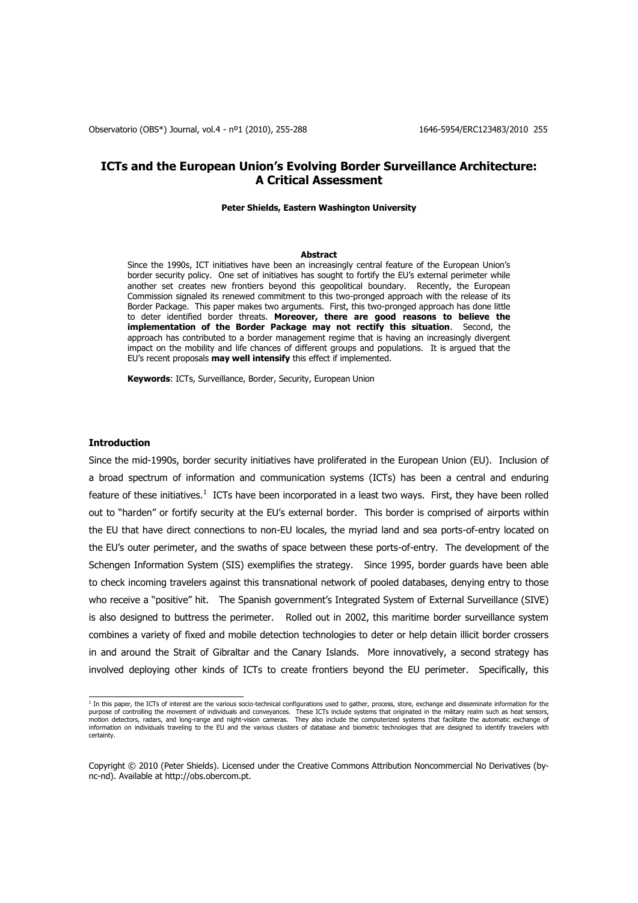# **ICTs and the European Union's Evolving Border Surveillance Architecture: A Critical Assessment**

### **Peter Shields, Eastern Washington University**

#### **Abstract**

Since the 1990s, ICT initiatives have been an increasingly central feature of the European Union"s border security policy. One set of initiatives has sought to fortify the EU"s external perimeter while another set creates new frontiers beyond this geopolitical boundary. Recently, the European Commission signaled its renewed commitment to this two-pronged approach with the release of its Border Package. This paper makes two arguments. First, this two-pronged approach has done little to deter identified border threats. **Moreover, there are good reasons to believe the implementation of the Border Package may not rectify this situation**. Second, the approach has contributed to a border management regime that is having an increasingly divergent impact on the mobility and life chances of different groups and populations. It is argued that the EU"s recent proposals **may well intensify** this effect if implemented.

**Keywords**: ICTs, Surveillance, Border, Security, European Union

## **Introduction**

Since the mid-1990s, border security initiatives have proliferated in the European Union (EU). Inclusion of a broad spectrum of information and communication systems (ICTs) has been a central and enduring feature of these initiatives.<sup>1</sup> ICTs have been incorporated in a least two ways. First, they have been rolled out to "harden" or fortify security at the EU"s external border. This border is comprised of airports within the EU that have direct connections to non-EU locales, the myriad land and sea ports-of-entry located on the EU"s outer perimeter, and the swaths of space between these ports-of-entry. The development of the Schengen Information System (SIS) exemplifies the strategy. Since 1995, border guards have been able to check incoming travelers against this transnational network of pooled databases, denying entry to those who receive a "positive" hit. The Spanish government's Integrated System of External Surveillance (SIVE) is also designed to buttress the perimeter. Rolled out in 2002, this maritime border surveillance system combines a variety of fixed and mobile detection technologies to deter or help detain illicit border crossers in and around the Strait of Gibraltar and the Canary Islands. More innovatively, a second strategy has involved deploying other kinds of ICTs to create frontiers beyond the EU perimeter. Specifically, this

 1 In this paper, the ICTs of interest are the various socio-technical configurations used to gather, process, store, exchange and disseminate information for the purpose of controlling the movement of individuals and conveyances. These ICTs include systems that originated in the military realm such as heat sensors,<br>motion detectors, radars, and long-range and night-vision cameras. information on individuals traveling to the EU and the various clusters of database and biometric technologies that are designed to identify travelers with certainty.

Copyright © 2010 (Peter Shields). Licensed under the Creative Commons Attribution Noncommercial No Derivatives (bync-nd). Available at http://obs.obercom.pt.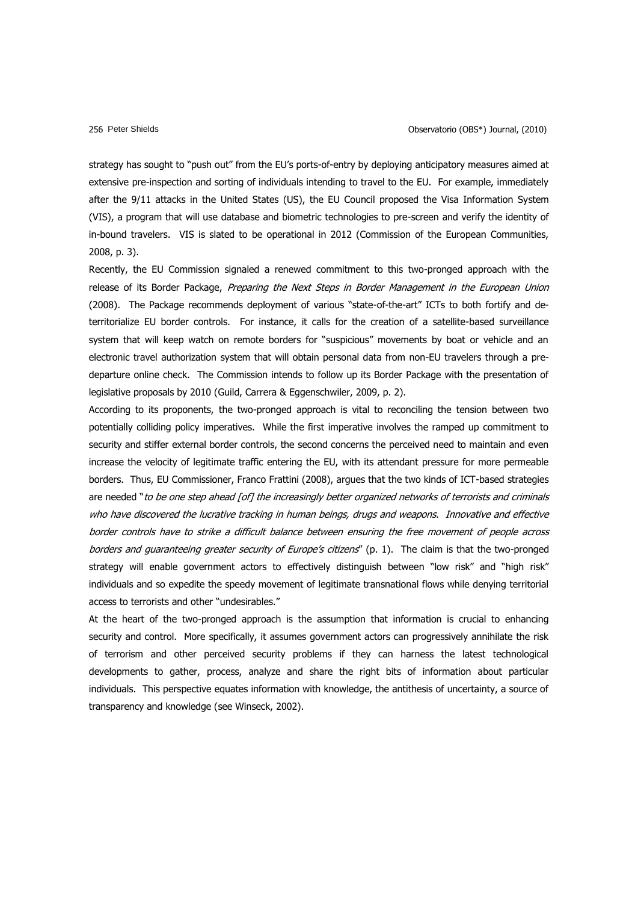strategy has sought to "push out" from the EU"s ports-of-entry by deploying anticipatory measures aimed at extensive pre-inspection and sorting of individuals intending to travel to the EU. For example, immediately after the 9/11 attacks in the United States (US), the EU Council proposed the Visa Information System (VIS), a program that will use database and biometric technologies to pre-screen and verify the identity of in-bound travelers. VIS is slated to be operational in 2012 (Commission of the European Communities, 2008, p. 3).

Recently, the EU Commission signaled a renewed commitment to this two-pronged approach with the release of its Border Package, Preparing the Next Steps in Border Management in the European Union (2008). The Package recommends deployment of various "state-of-the-art" ICTs to both fortify and deterritorialize EU border controls. For instance, it calls for the creation of a satellite-based surveillance system that will keep watch on remote borders for "suspicious" movements by boat or vehicle and an electronic travel authorization system that will obtain personal data from non-EU travelers through a predeparture online check. The Commission intends to follow up its Border Package with the presentation of legislative proposals by 2010 (Guild, Carrera & Eggenschwiler, 2009, p. 2).

According to its proponents, the two-pronged approach is vital to reconciling the tension between two potentially colliding policy imperatives. While the first imperative involves the ramped up commitment to security and stiffer external border controls, the second concerns the perceived need to maintain and even increase the velocity of legitimate traffic entering the EU, with its attendant pressure for more permeable borders. Thus, EU Commissioner, Franco Frattini (2008), argues that the two kinds of ICT-based strategies are needed "to be one step ahead [of] the increasingly better organized networks of terrorists and criminals who have discovered the lucrative tracking in human beings, drugs and weapons. Innovative and effective border controls have to strike a difficult balance between ensuring the free movement of people across borders and quaranteeing greater security of Europe's citizens" (p. 1). The claim is that the two-pronged strategy will enable government actors to effectively distinguish between "low risk" and "high risk" individuals and so expedite the speedy movement of legitimate transnational flows while denying territorial access to terrorists and other "undesirables."

At the heart of the two-pronged approach is the assumption that information is crucial to enhancing security and control. More specifically, it assumes government actors can progressively annihilate the risk of terrorism and other perceived security problems if they can harness the latest technological developments to gather, process, analyze and share the right bits of information about particular individuals. This perspective equates information with knowledge, the antithesis of uncertainty, a source of transparency and knowledge (see Winseck, 2002).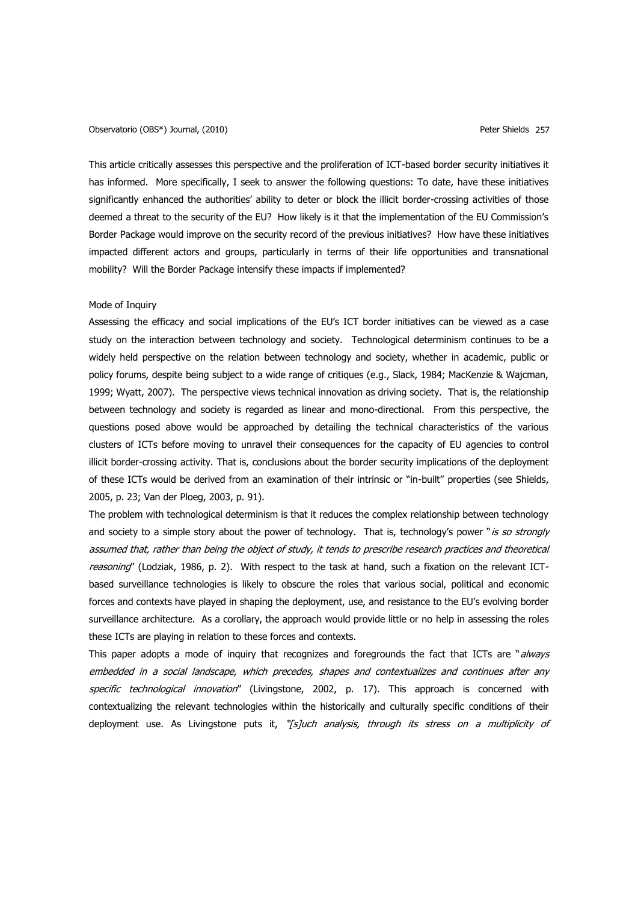## Observatorio (OBS\*) Journal, (2010) Peter Shields 257

This article critically assesses this perspective and the proliferation of ICT-based border security initiatives it has informed. More specifically, I seek to answer the following questions: To date, have these initiatives significantly enhanced the authorities" ability to deter or block the illicit border-crossing activities of those deemed a threat to the security of the EU? How likely is it that the implementation of the EU Commission's Border Package would improve on the security record of the previous initiatives? How have these initiatives impacted different actors and groups, particularly in terms of their life opportunities and transnational mobility? Will the Border Package intensify these impacts if implemented?

## Mode of Inquiry

Assessing the efficacy and social implications of the EU"s ICT border initiatives can be viewed as a case study on the interaction between technology and society. Technological determinism continues to be a widely held perspective on the relation between technology and society, whether in academic, public or policy forums, despite being subject to a wide range of critiques (e.g., Slack, 1984; MacKenzie & Wajcman, 1999; Wyatt, 2007). The perspective views technical innovation as driving society. That is, the relationship between technology and society is regarded as linear and mono-directional. From this perspective, the questions posed above would be approached by detailing the technical characteristics of the various clusters of ICTs before moving to unravel their consequences for the capacity of EU agencies to control illicit border-crossing activity. That is, conclusions about the border security implications of the deployment of these ICTs would be derived from an examination of their intrinsic or "in-built" properties (see Shields, 2005, p. 23; Van der Ploeg, 2003, p. 91).

The problem with technological determinism is that it reduces the complex relationship between technology and society to a simple story about the power of technology. That is, technology's power "is so strongly assumed that, rather than being the object of study, it tends to prescribe research practices and theoretical reasoning" (Lodziak, 1986, p. 2). With respect to the task at hand, such a fixation on the relevant ICTbased surveillance technologies is likely to obscure the roles that various social, political and economic forces and contexts have played in shaping the deployment, use, and resistance to the EU"s evolving border surveillance architecture. As a corollary, the approach would provide little or no help in assessing the roles these ICTs are playing in relation to these forces and contexts.

This paper adopts a mode of inquiry that recognizes and foregrounds the fact that ICTs are "*always* embedded in a social landscape, which precedes, shapes and contextualizes and continues after any specific technological innovation" (Livingstone, 2002, p. 17). This approach is concerned with contextualizing the relevant technologies within the historically and culturally specific conditions of their deployment use. As Livingstone puts it, "[s]uch analysis, through its stress on a multiplicity of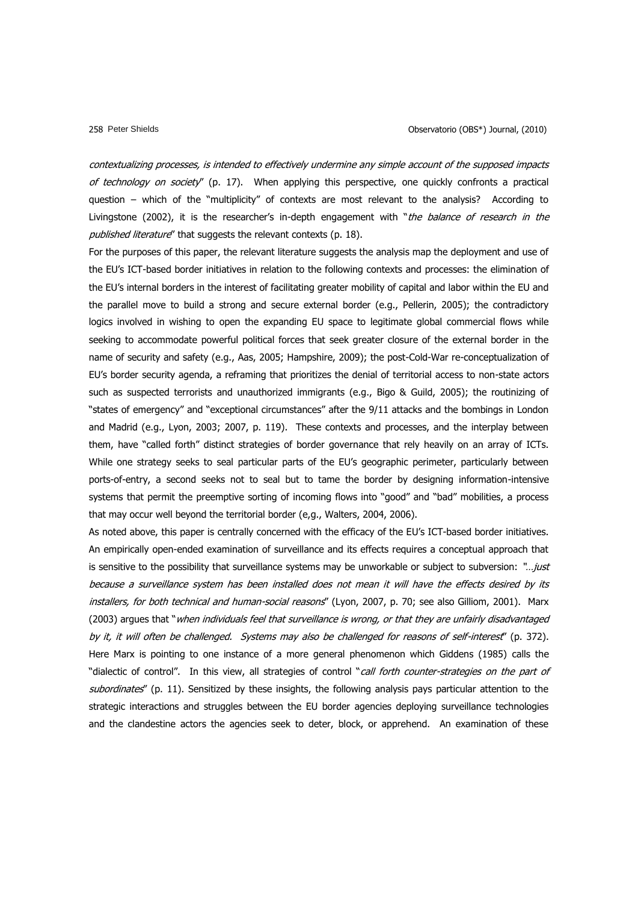contextualizing processes, is intended to effectively undermine any simple account of the supposed impacts of technology on society" (p. 17). When applying this perspective, one quickly confronts a practical question – which of the "multiplicity" of contexts are most relevant to the analysis? According to Livingstone (2002), it is the researcher's in-depth engagement with "the balance of research in the published literature" that suggests the relevant contexts (p. 18).

For the purposes of this paper, the relevant literature suggests the analysis map the deployment and use of the EU"s ICT-based border initiatives in relation to the following contexts and processes: the elimination of the EU"s internal borders in the interest of facilitating greater mobility of capital and labor within the EU and the parallel move to build a strong and secure external border (e.g., Pellerin, 2005); the contradictory logics involved in wishing to open the expanding EU space to legitimate global commercial flows while seeking to accommodate powerful political forces that seek greater closure of the external border in the name of security and safety (e.g., Aas, 2005; Hampshire, 2009); the post-Cold-War re-conceptualization of EU"s border security agenda, a reframing that prioritizes the denial of territorial access to non-state actors such as suspected terrorists and unauthorized immigrants (e.g., Bigo & Guild, 2005); the routinizing of "states of emergency" and "exceptional circumstances" after the 9/11 attacks and the bombings in London and Madrid (e.g., Lyon, 2003; 2007, p. 119). These contexts and processes, and the interplay between them, have "called forth" distinct strategies of border governance that rely heavily on an array of ICTs. While one strategy seeks to seal particular parts of the EU's geographic perimeter, particularly between ports-of-entry, a second seeks not to seal but to tame the border by designing information-intensive systems that permit the preemptive sorting of incoming flows into "good" and "bad" mobilities, a process that may occur well beyond the territorial border (e,g., Walters, 2004, 2006).

As noted above, this paper is centrally concerned with the efficacy of the EU"s ICT-based border initiatives. An empirically open-ended examination of surveillance and its effects requires a conceptual approach that is sensitive to the possibility that surveillance systems may be unworkable or subject to subversion: "...just because a surveillance system has been installed does not mean it will have the effects desired by its installers, for both technical and human-social reasons" (Lyon, 2007, p. 70; see also Gilliom, 2001). Marx (2003) argues that "when individuals feel that surveillance is wrong, or that they are unfairly disadvantaged by it, it will often be challenged. Systems may also be challenged for reasons of self-interest" (p. 372). Here Marx is pointing to one instance of a more general phenomenon which Giddens (1985) calls the "dialectic of control". In this view, all strategies of control "call forth counter-strategies on the part of subordinates" (p. 11). Sensitized by these insights, the following analysis pays particular attention to the strategic interactions and struggles between the EU border agencies deploying surveillance technologies and the clandestine actors the agencies seek to deter, block, or apprehend. An examination of these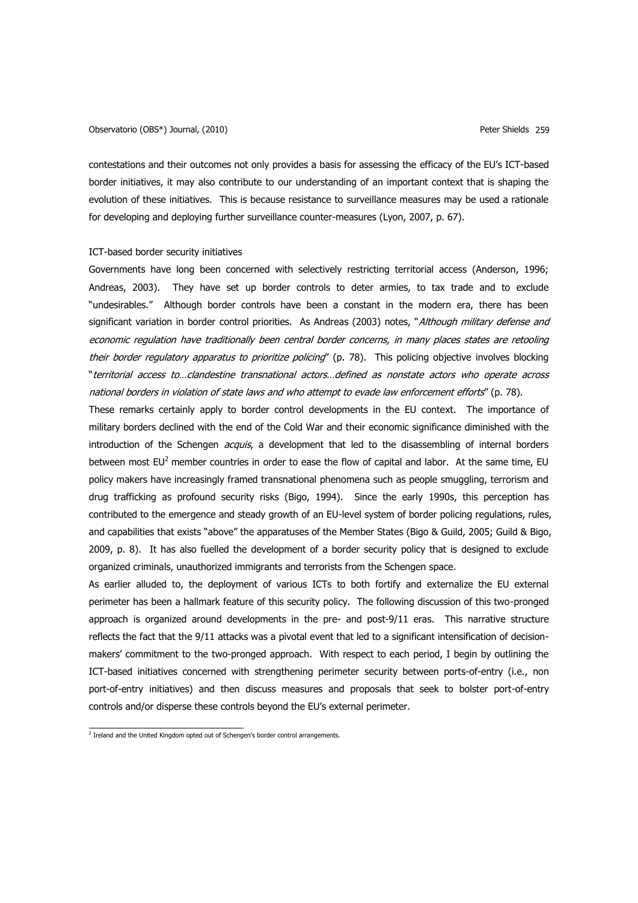contestations and their outcomes not only provides a basis for assessing the efficacy of the EU"s ICT-based border initiatives, it may also contribute to our understanding of an important context that is shaping the evolution of these initiatives. This is because resistance to surveillance measures may be used a rationale for developing and deploying further surveillance counter-measures (Lyon, 2007, p. 67).

### ICT-based border security initiatives

Governments have long been concerned with selectively restricting territorial access (Anderson, 1996; Andreas, 2003). They have set up border controls to deter armies, to tax trade and to exclude "undesirables." Although border controls have been a constant in the modern era, there has been significant variation in border control priorities. As Andreas (2003) notes, "Although military defense and economic regulation have traditionally been central border concerns, in many places states are retooling their border regulatory apparatus to prioritize policing" (p. 78). This policing objective involves blocking "territorial access to…clandestine transnational actors…defined as nonstate actors who operate across national borders in violation of state laws and who attempt to evade law enforcement efforts" (p. 78).

These remarks certainly apply to border control developments in the EU context. The importance of military borders declined with the end of the Cold War and their economic significance diminished with the introduction of the Schengen *acquis*, a development that led to the disassembling of internal borders between most  $EU^2$  member countries in order to ease the flow of capital and labor. At the same time, EU policy makers have increasingly framed transnational phenomena such as people smuggling, terrorism and drug trafficking as profound security risks (Bigo, 1994). Since the early 1990s, this perception has contributed to the emergence and steady growth of an EU-level system of border policing regulations, rules, and capabilities that exists "above" the apparatuses of the Member States (Bigo & Guild, 2005; Guild & Bigo, 2009, p. 8). It has also fuelled the development of a border security policy that is designed to exclude organized criminals, unauthorized immigrants and terrorists from the Schengen space.

As earlier alluded to, the deployment of various ICTs to both fortify and externalize the EU external perimeter has been a hallmark feature of this security policy. The following discussion of this two-pronged approach is organized around developments in the pre- and post-9/11 eras. This narrative structure reflects the fact that the 9/11 attacks was a pivotal event that led to a significant intensification of decisionmakers" commitment to the two-pronged approach. With respect to each period, I begin by outlining the ICT-based initiatives concerned with strengthening perimeter security between ports-of-entry (i.e., non port-of-entry initiatives) and then discuss measures and proposals that seek to bolster port-of-entry controls and/or disperse these controls beyond the EU"s external perimeter.

<sup>&</sup>lt;sup>2</sup> Ireland and the United Kingdom opted out of Schengen's border control arrangements.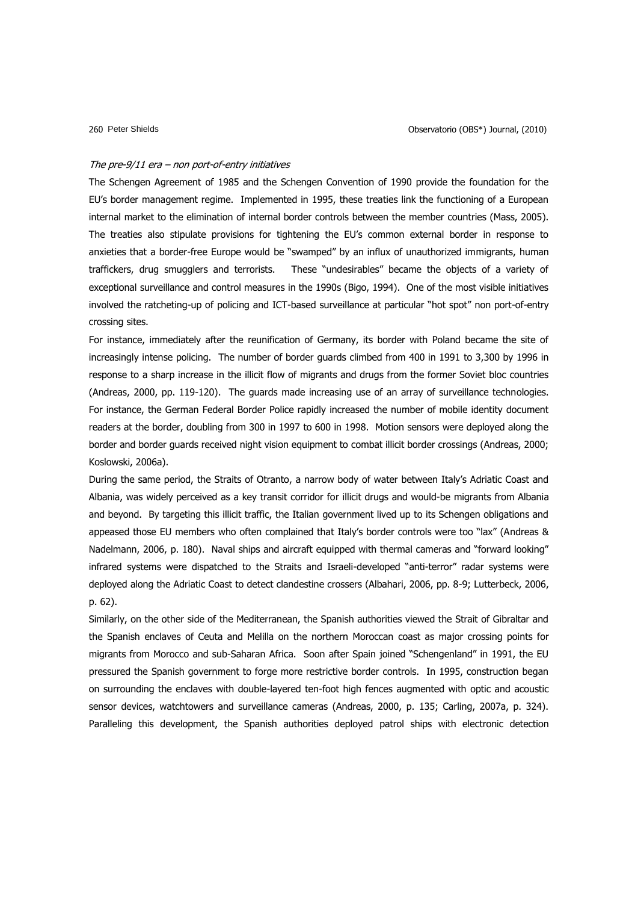#### The pre-9/11 era – non port-of-entry initiatives

The Schengen Agreement of 1985 and the Schengen Convention of 1990 provide the foundation for the EU"s border management regime. Implemented in 1995, these treaties link the functioning of a European internal market to the elimination of internal border controls between the member countries (Mass, 2005). The treaties also stipulate provisions for tightening the EU"s common external border in response to anxieties that a border-free Europe would be "swamped" by an influx of unauthorized immigrants, human traffickers, drug smugglers and terrorists. These "undesirables" became the objects of a variety of exceptional surveillance and control measures in the 1990s (Bigo, 1994). One of the most visible initiatives involved the ratcheting-up of policing and ICT-based surveillance at particular "hot spot" non port-of-entry crossing sites.

For instance, immediately after the reunification of Germany, its border with Poland became the site of increasingly intense policing. The number of border guards climbed from 400 in 1991 to 3,300 by 1996 in response to a sharp increase in the illicit flow of migrants and drugs from the former Soviet bloc countries (Andreas, 2000, pp. 119-120). The guards made increasing use of an array of surveillance technologies. For instance, the German Federal Border Police rapidly increased the number of mobile identity document readers at the border, doubling from 300 in 1997 to 600 in 1998. Motion sensors were deployed along the border and border guards received night vision equipment to combat illicit border crossings (Andreas, 2000; Koslowski, 2006a).

During the same period, the Straits of Otranto, a narrow body of water between Italy"s Adriatic Coast and Albania, was widely perceived as a key transit corridor for illicit drugs and would-be migrants from Albania and beyond. By targeting this illicit traffic, the Italian government lived up to its Schengen obligations and appeased those EU members who often complained that Italy"s border controls were too "lax" (Andreas & Nadelmann, 2006, p. 180). Naval ships and aircraft equipped with thermal cameras and "forward looking" infrared systems were dispatched to the Straits and Israeli-developed "anti-terror" radar systems were deployed along the Adriatic Coast to detect clandestine crossers (Albahari, 2006, pp. 8-9; Lutterbeck, 2006, p. 62).

Similarly, on the other side of the Mediterranean, the Spanish authorities viewed the Strait of Gibraltar and the Spanish enclaves of Ceuta and Melilla on the northern Moroccan coast as major crossing points for migrants from Morocco and sub-Saharan Africa. Soon after Spain joined "Schengenland" in 1991, the EU pressured the Spanish government to forge more restrictive border controls. In 1995, construction began on surrounding the enclaves with double-layered ten-foot high fences augmented with optic and acoustic sensor devices, watchtowers and surveillance cameras (Andreas, 2000, p. 135; Carling, 2007a, p. 324). Paralleling this development, the Spanish authorities deployed patrol ships with electronic detection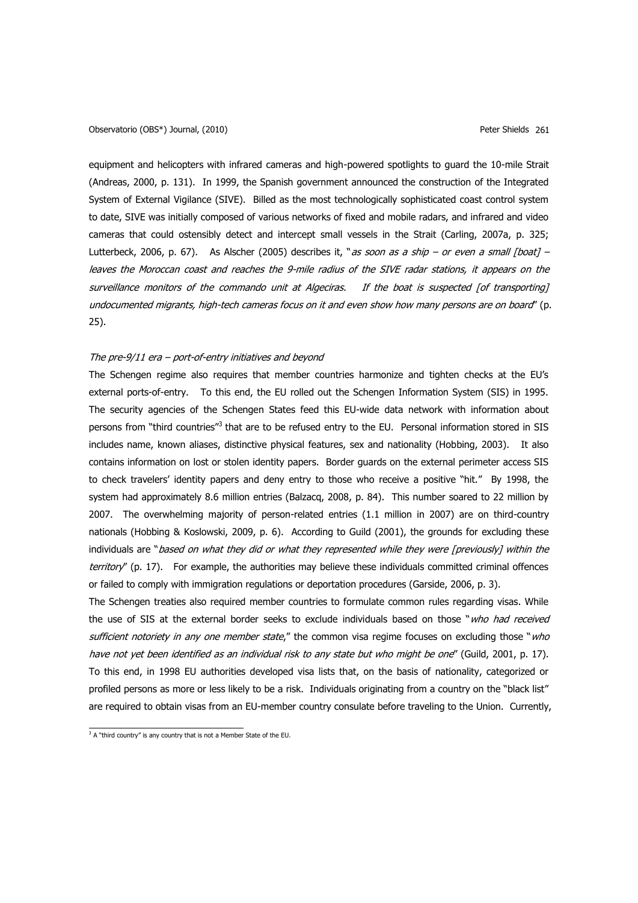equipment and helicopters with infrared cameras and high-powered spotlights to guard the 10-mile Strait (Andreas, 2000, p. 131). In 1999, the Spanish government announced the construction of the Integrated System of External Vigilance (SIVE). Billed as the most technologically sophisticated coast control system to date, SIVE was initially composed of various networks of fixed and mobile radars, and infrared and video cameras that could ostensibly detect and intercept small vessels in the Strait (Carling, 2007a, p. 325; Lutterbeck, 2006, p. 67). As Alscher (2005) describes it, "as soon as a ship – or even a small [boat] – leaves the Moroccan coast and reaches the 9-mile radius of the SIVE radar stations, it appears on the surveillance monitors of the commando unit at Algeciras. If the boat is suspected [of transporting] undocumented migrants, high-tech cameras focus on it and even show how many persons are on board" (p. 25).

## The pre-9/11 era – port-of-entry initiatives and beyond

The Schengen regime also requires that member countries harmonize and tighten checks at the EU"s external ports-of-entry. To this end, the EU rolled out the Schengen Information System (SIS) in 1995. The security agencies of the Schengen States feed this EU-wide data network with information about persons from "third countries"<sup>3</sup> that are to be refused entry to the EU. Personal information stored in SIS includes name, known aliases, distinctive physical features, sex and nationality (Hobbing, 2003). It also contains information on lost or stolen identity papers. Border guards on the external perimeter access SIS to check travelers" identity papers and deny entry to those who receive a positive "hit." By 1998, the system had approximately 8.6 million entries (Balzacq, 2008, p. 84). This number soared to 22 million by 2007. The overwhelming majority of person-related entries (1.1 million in 2007) are on third-country nationals (Hobbing & Koslowski, 2009, p. 6). According to Guild (2001), the grounds for excluding these individuals are "based on what they did or what they represented while they were [previously] within the territory" (p. 17). For example, the authorities may believe these individuals committed criminal offences or failed to comply with immigration regulations or deportation procedures (Garside, 2006, p. 3).

The Schengen treaties also required member countries to formulate common rules regarding visas. While the use of SIS at the external border seeks to exclude individuals based on those "who had received sufficient notoriety in any one member state," the common visa regime focuses on excluding those "who have not yet been identified as an individual risk to any state but who might be one" (Guild, 2001, p. 17). To this end, in 1998 EU authorities developed visa lists that, on the basis of nationality, categorized or profiled persons as more or less likely to be a risk. Individuals originating from a country on the "black list" are required to obtain visas from an EU-member country consulate before traveling to the Union. Currently,

 $3$  A "third country" is any country that is not a Member State of the EU.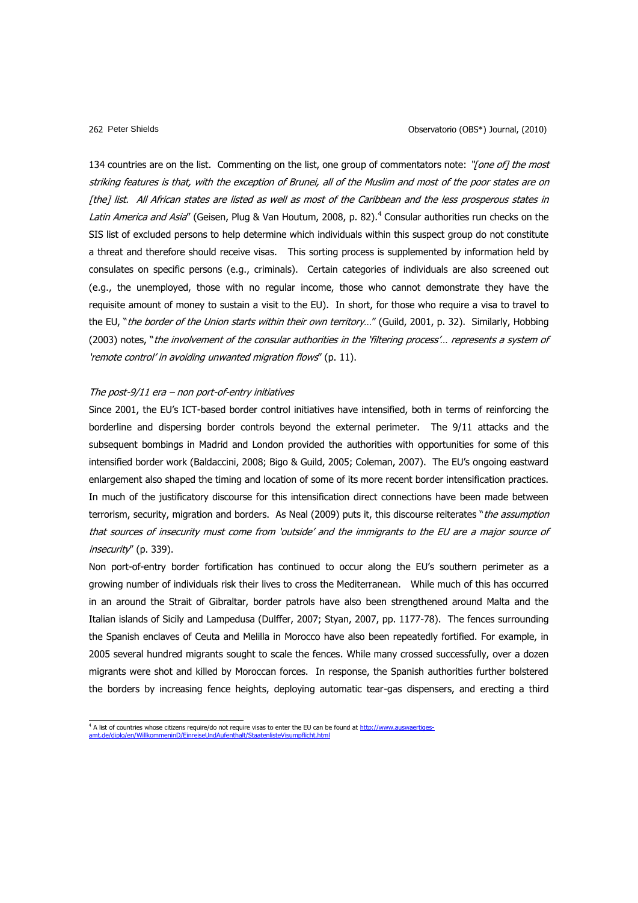134 countries are on the list. Commenting on the list, one group of commentators note: "[one of] the most striking features is that, with the exception of Brunei, all of the Muslim and most of the poor states are on [the] list. All African states are listed as well as most of the Caribbean and the less prosperous states in Latin America and Asia" (Geisen, Plug & Van Houtum, 2008, p. 82).<sup>4</sup> Consular authorities run checks on the SIS list of excluded persons to help determine which individuals within this suspect group do not constitute a threat and therefore should receive visas. This sorting process is supplemented by information held by consulates on specific persons (e.g., criminals). Certain categories of individuals are also screened out (e.g., the unemployed, those with no regular income, those who cannot demonstrate they have the requisite amount of money to sustain a visit to the EU). In short, for those who require a visa to travel to the EU, "the border of the Union starts within their own territory..." (Guild, 2001, p. 32). Similarly, Hobbing (2003) notes, "the involvement of the consular authorities in the 'filtering process'... represents a system of 'remote control' in avoiding unwanted migration flows" (p. 11).

## The post- $9/11$  era – non port-of-entry initiatives

Since 2001, the EU"s ICT-based border control initiatives have intensified, both in terms of reinforcing the borderline and dispersing border controls beyond the external perimeter. The 9/11 attacks and the subsequent bombings in Madrid and London provided the authorities with opportunities for some of this intensified border work (Baldaccini, 2008; Bigo & Guild, 2005; Coleman, 2007). The EU"s ongoing eastward enlargement also shaped the timing and location of some of its more recent border intensification practices. In much of the justificatory discourse for this intensification direct connections have been made between terrorism, security, migration and borders. As Neal (2009) puts it, this discourse reiterates "the assumption that sources of insecurity must come from "outside" and the immigrants to the EU are a major source of insecurity" (p. 339).

Non port-of-entry border fortification has continued to occur along the EU"s southern perimeter as a growing number of individuals risk their lives to cross the Mediterranean. While much of this has occurred in an around the Strait of Gibraltar, border patrols have also been strengthened around Malta and the Italian islands of Sicily and Lampedusa (Dulffer, 2007; Styan, 2007, pp. 1177-78). The fences surrounding the Spanish enclaves of Ceuta and Melilla in Morocco have also been repeatedly fortified. For example, in 2005 several hundred migrants sought to scale the fences. While many crossed successfully, over a dozen migrants were shot and killed by Moroccan forces. In response, the Spanish authorities further bolstered the borders by increasing fence heights, deploying automatic tear-gas dispensers, and erecting a third

<sup>4</sup> A list of countries whose citizens require/do not require visas to enter the EU can be found a[t http://www.auswaertiges](http://www.auswaertiges-amt.de/diplo/en/WillkommeninD/EinreiseUndAufenthalt/StaatenlisteVisumpflicht.html)[amt.de/diplo/en/WillkommeninD/EinreiseUndAufenthalt/StaatenlisteVisumpflicht.html](http://www.auswaertiges-amt.de/diplo/en/WillkommeninD/EinreiseUndAufenthalt/StaatenlisteVisumpflicht.html)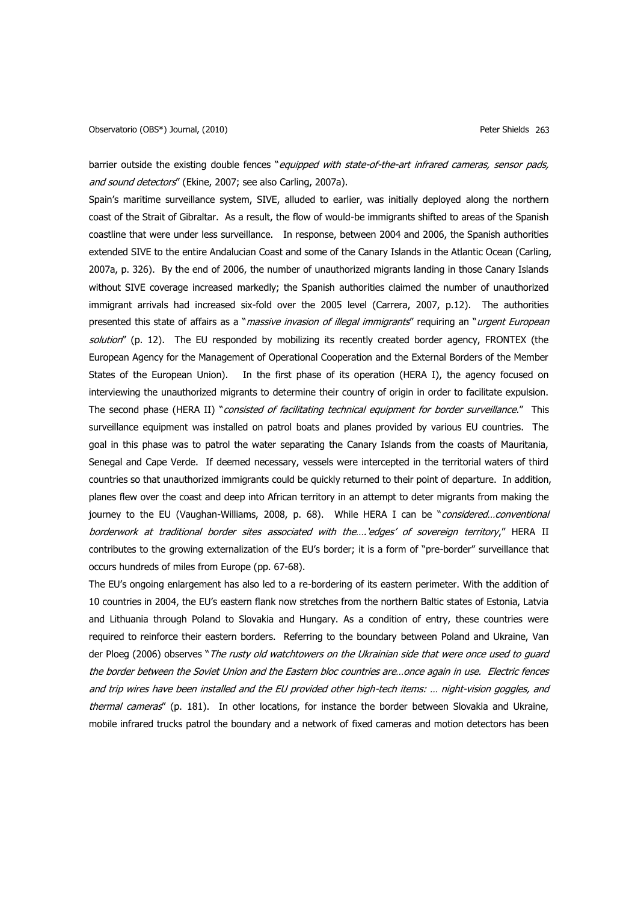barrier outside the existing double fences "equipped with state-of-the-art infrared cameras, sensor pads, and sound detectors" (Ekine, 2007; see also Carling, 2007a).

Spain"s maritime surveillance system, SIVE, alluded to earlier, was initially deployed along the northern coast of the Strait of Gibraltar. As a result, the flow of would-be immigrants shifted to areas of the Spanish coastline that were under less surveillance. In response, between 2004 and 2006, the Spanish authorities extended SIVE to the entire Andalucian Coast and some of the Canary Islands in the Atlantic Ocean (Carling, 2007a, p. 326). By the end of 2006, the number of unauthorized migrants landing in those Canary Islands without SIVE coverage increased markedly; the Spanish authorities claimed the number of unauthorized immigrant arrivals had increased six-fold over the 2005 level (Carrera, 2007, p.12). The authorities presented this state of affairs as a "massive invasion of illegal immigrants" requiring an "urgent European solution" (p. 12). The EU responded by mobilizing its recently created border agency, FRONTEX (the European Agency for the Management of Operational Cooperation and the External Borders of the Member States of the European Union). In the first phase of its operation (HERA I), the agency focused on interviewing the unauthorized migrants to determine their country of origin in order to facilitate expulsion. The second phase (HERA II) "consisted of facilitating technical equipment for border surveillance." This surveillance equipment was installed on patrol boats and planes provided by various EU countries. The goal in this phase was to patrol the water separating the Canary Islands from the coasts of Mauritania, Senegal and Cape Verde. If deemed necessary, vessels were intercepted in the territorial waters of third countries so that unauthorized immigrants could be quickly returned to their point of departure. In addition, planes flew over the coast and deep into African territory in an attempt to deter migrants from making the journey to the EU (Vaughan-Williams, 2008, p. 68). While HERA I can be "considered...conventional borderwork at traditional border sites associated with the....'edges' of sovereign territory," HERA II contributes to the growing externalization of the EU"s border; it is a form of "pre-border" surveillance that occurs hundreds of miles from Europe (pp. 67-68).

The EU"s ongoing enlargement has also led to a re-bordering of its eastern perimeter. With the addition of 10 countries in 2004, the EU"s eastern flank now stretches from the northern Baltic states of Estonia, Latvia and Lithuania through Poland to Slovakia and Hungary. As a condition of entry, these countries were required to reinforce their eastern borders. Referring to the boundary between Poland and Ukraine, Van der Ploeg (2006) observes "The rusty old watchtowers on the Ukrainian side that were once used to quard the border between the Soviet Union and the Eastern bloc countries are…once again in use. Electric fences and trip wires have been installed and the EU provided other high-tech items: … night-vision goggles, and thermal cameras" (p. 181). In other locations, for instance the border between Slovakia and Ukraine, mobile infrared trucks patrol the boundary and a network of fixed cameras and motion detectors has been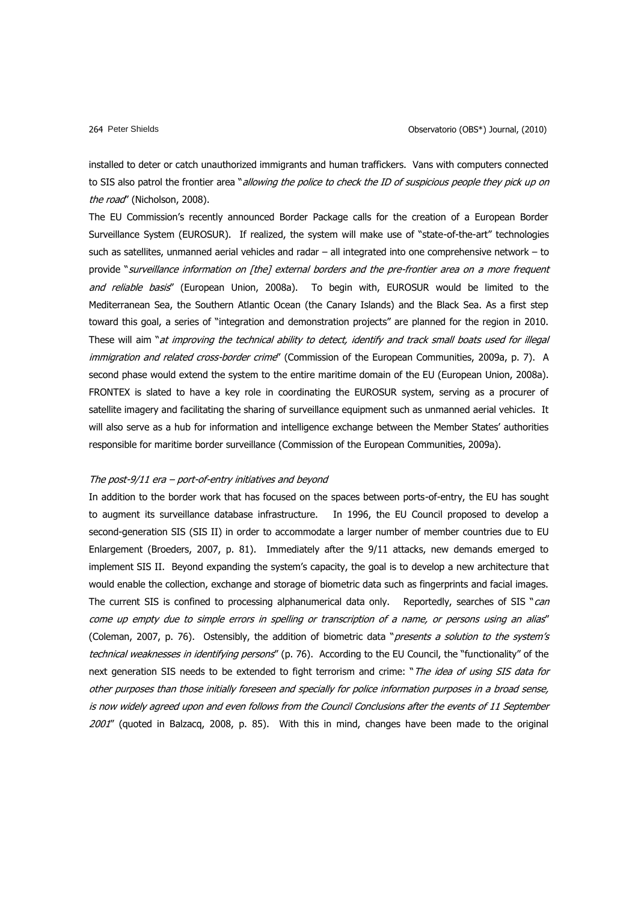installed to deter or catch unauthorized immigrants and human traffickers. Vans with computers connected to SIS also patrol the frontier area "allowing the police to check the ID of suspicious people they pick up on the road" (Nicholson, 2008).

The EU Commission"s recently announced Border Package calls for the creation of a European Border Surveillance System (EUROSUR). If realized, the system will make use of "state-of-the-art" technologies such as satellites, unmanned aerial vehicles and radar – all integrated into one comprehensive network – to provide "surveillance information on [the] external borders and the pre-frontier area on a more frequent and reliable basis" (European Union, 2008a). To begin with, EUROSUR would be limited to the Mediterranean Sea, the Southern Atlantic Ocean (the Canary Islands) and the Black Sea. As a first step toward this goal, a series of "integration and demonstration projects" are planned for the region in 2010. These will aim "at improving the technical ability to detect, identify and track small boats used for illegal immigration and related cross-border crime" (Commission of the European Communities, 2009a, p. 7). A second phase would extend the system to the entire maritime domain of the EU (European Union, 2008a). FRONTEX is slated to have a key role in coordinating the EUROSUR system, serving as a procurer of satellite imagery and facilitating the sharing of surveillance equipment such as unmanned aerial vehicles. It will also serve as a hub for information and intelligence exchange between the Member States' authorities responsible for maritime border surveillance (Commission of the European Communities, 2009a).

### The post-9/11 era – port-of-entry initiatives and beyond

In addition to the border work that has focused on the spaces between ports-of-entry, the EU has sought to augment its surveillance database infrastructure. In 1996, the EU Council proposed to develop a second-generation SIS (SIS II) in order to accommodate a larger number of member countries due to EU Enlargement (Broeders, 2007, p. 81). Immediately after the 9/11 attacks, new demands emerged to implement SIS II. Beyond expanding the system"s capacity, the goal is to develop a new architecture that would enable the collection, exchange and storage of biometric data such as fingerprints and facial images. The current SIS is confined to processing alphanumerical data only. Reportedly, searches of SIS "can come up empty due to simple errors in spelling or transcription of a name, or persons using an alias" (Coleman, 2007, p. 76). Ostensibly, the addition of biometric data "*presents a solution to the system's* technical weaknesses in identifying persons" (p. 76). According to the EU Council, the "functionality" of the next generation SIS needs to be extended to fight terrorism and crime: "The idea of using SIS data for other purposes than those initially foreseen and specially for police information purposes in a broad sense, is now widely agreed upon and even follows from the Council Conclusions after the events of 11 September 2001" (quoted in Balzacq, 2008, p. 85). With this in mind, changes have been made to the original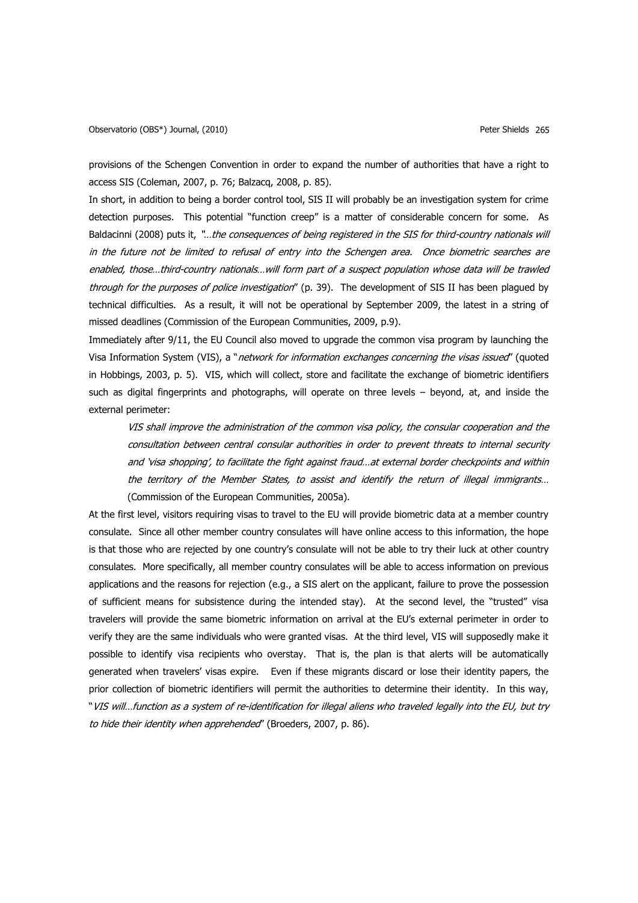provisions of the Schengen Convention in order to expand the number of authorities that have a right to access SIS (Coleman, 2007, p. 76; Balzacq, 2008, p. 85).

In short, in addition to being a border control tool, SIS II will probably be an investigation system for crime detection purposes. This potential "function creep" is a matter of considerable concern for some. As Baldacinni (2008) puts it, "...the consequences of being registered in the SIS for third-country nationals will in the future not be limited to refusal of entry into the Schengen area. Once biometric searches are enabled, those…third-country nationals…will form part of a suspect population whose data will be trawled through for the purposes of police investigation" (p. 39). The development of SIS II has been plagued by technical difficulties. As a result, it will not be operational by September 2009, the latest in a string of missed deadlines (Commission of the European Communities, 2009, p.9).

Immediately after 9/11, the EU Council also moved to upgrade the common visa program by launching the Visa Information System (VIS), a "network for information exchanges concerning the visas issued" (quoted in Hobbings, 2003, p. 5). VIS, which will collect, store and facilitate the exchange of biometric identifiers such as digital fingerprints and photographs, will operate on three levels – beyond, at, and inside the external perimeter:

VIS shall improve the administration of the common visa policy, the consular cooperation and the consultation between central consular authorities in order to prevent threats to internal security and "visa shopping", to facilitate the fight against fraud…at external border checkpoints and within the territory of the Member States, to assist and identify the return of illegal immigrants… (Commission of the European Communities, 2005a).

At the first level, visitors requiring visas to travel to the EU will provide biometric data at a member country consulate. Since all other member country consulates will have online access to this information, the hope is that those who are rejected by one country"s consulate will not be able to try their luck at other country consulates. More specifically, all member country consulates will be able to access information on previous applications and the reasons for rejection (e.g., a SIS alert on the applicant, failure to prove the possession of sufficient means for subsistence during the intended stay). At the second level, the "trusted" visa travelers will provide the same biometric information on arrival at the EU"s external perimeter in order to verify they are the same individuals who were granted visas. At the third level, VIS will supposedly make it possible to identify visa recipients who overstay. That is, the plan is that alerts will be automatically generated when travelers" visas expire. Even if these migrants discard or lose their identity papers, the prior collection of biometric identifiers will permit the authorities to determine their identity. In this way, "VIS will…function as a system of re-identification for illegal aliens who traveled legally into the EU, but try to hide their identity when apprehended" (Broeders, 2007, p. 86).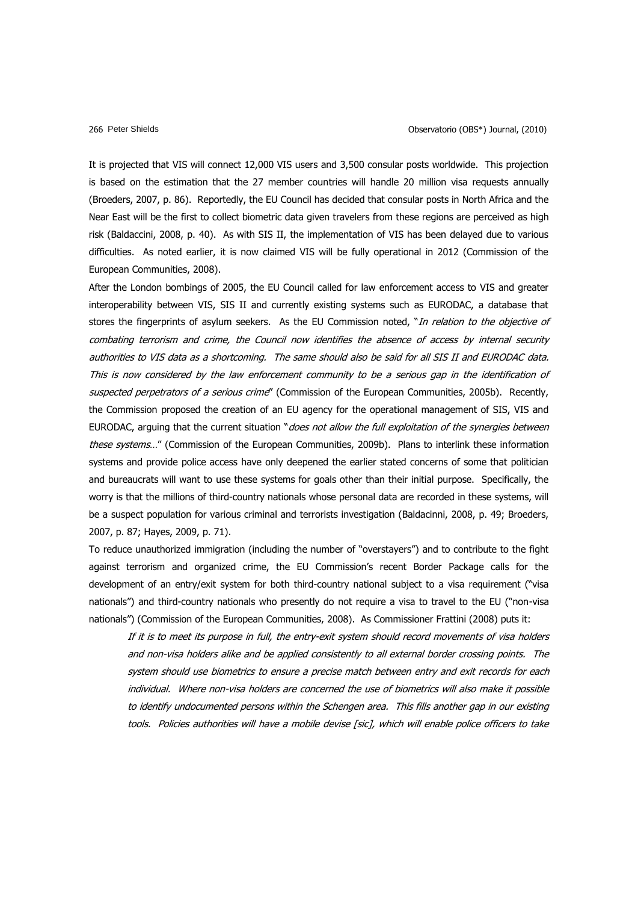It is projected that VIS will connect 12,000 VIS users and 3,500 consular posts worldwide. This projection is based on the estimation that the 27 member countries will handle 20 million visa requests annually (Broeders, 2007, p. 86). Reportedly, the EU Council has decided that consular posts in North Africa and the Near East will be the first to collect biometric data given travelers from these regions are perceived as high risk (Baldaccini, 2008, p. 40). As with SIS II, the implementation of VIS has been delayed due to various difficulties. As noted earlier, it is now claimed VIS will be fully operational in 2012 (Commission of the European Communities, 2008).

After the London bombings of 2005, the EU Council called for law enforcement access to VIS and greater interoperability between VIS, SIS II and currently existing systems such as EURODAC, a database that stores the fingerprints of asylum seekers. As the EU Commission noted, "In relation to the objective of combating terrorism and crime, the Council now identifies the absence of access by internal security authorities to VIS data as a shortcoming. The same should also be said for all SIS II and EURODAC data. This is now considered by the law enforcement community to be a serious gap in the identification of suspected perpetrators of a serious crime" (Commission of the European Communities, 2005b). Recently, the Commission proposed the creation of an EU agency for the operational management of SIS, VIS and EURODAC, arguing that the current situation "does not allow the full exploitation of the synergies between these systems..." (Commission of the European Communities, 2009b). Plans to interlink these information systems and provide police access have only deepened the earlier stated concerns of some that politician and bureaucrats will want to use these systems for goals other than their initial purpose. Specifically, the worry is that the millions of third-country nationals whose personal data are recorded in these systems, will be a suspect population for various criminal and terrorists investigation (Baldacinni, 2008, p. 49; Broeders, 2007, p. 87; Hayes, 2009, p. 71).

To reduce unauthorized immigration (including the number of "overstayers") and to contribute to the fight against terrorism and organized crime, the EU Commission's recent Border Package calls for the development of an entry/exit system for both third-country national subject to a visa requirement ("visa nationals") and third-country nationals who presently do not require a visa to travel to the EU ("non-visa nationals") (Commission of the European Communities, 2008). As Commissioner Frattini (2008) puts it:

If it is to meet its purpose in full, the entry-exit system should record movements of visa holders and non-visa holders alike and be applied consistently to all external border crossing points. The system should use biometrics to ensure a precise match between entry and exit records for each individual. Where non-visa holders are concerned the use of biometrics will also make it possible to identify undocumented persons within the Schengen area. This fills another gap in our existing tools. Policies authorities will have a mobile devise [sic], which will enable police officers to take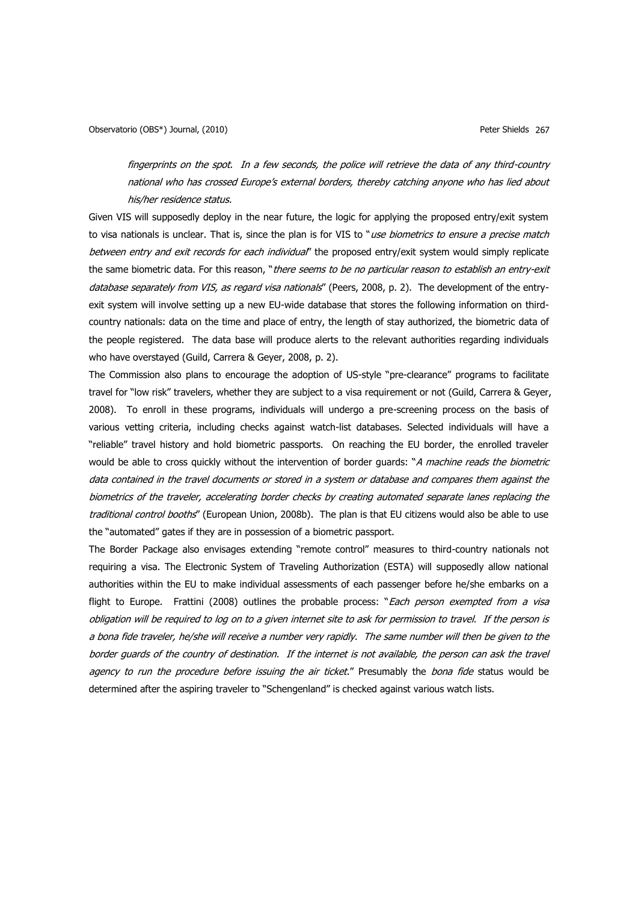fingerprints on the spot. In a few seconds, the police will retrieve the data of any third-country national who has crossed Europe's external borders, thereby catching anyone who has lied about his/her residence status.

Given VIS will supposedly deploy in the near future, the logic for applying the proposed entry/exit system to visa nationals is unclear. That is, since the plan is for VIS to "use biometrics to ensure a precise match between entry and exit records for each individual" the proposed entry/exit system would simply replicate the same biometric data. For this reason, "there seems to be no particular reason to establish an entry-exit database separately from VIS, as regard visa nationals" (Peers, 2008, p. 2). The development of the entryexit system will involve setting up a new EU-wide database that stores the following information on thirdcountry nationals: data on the time and place of entry, the length of stay authorized, the biometric data of the people registered. The data base will produce alerts to the relevant authorities regarding individuals who have overstayed (Guild, Carrera & Geyer, 2008, p. 2).

The Commission also plans to encourage the adoption of US-style "pre-clearance" programs to facilitate travel for "low risk" travelers, whether they are subject to a visa requirement or not (Guild, Carrera & Geyer, 2008). To enroll in these programs, individuals will undergo a pre-screening process on the basis of various vetting criteria, including checks against watch-list databases. Selected individuals will have a "reliable" travel history and hold biometric passports. On reaching the EU border, the enrolled traveler would be able to cross quickly without the intervention of border guards: "A machine reads the biometric data contained in the travel documents or stored in a system or database and compares them against the biometrics of the traveler, accelerating border checks by creating automated separate lanes replacing the traditional control booths" (European Union, 2008b). The plan is that EU citizens would also be able to use the "automated" gates if they are in possession of a biometric passport.

The Border Package also envisages extending "remote control" measures to third-country nationals not requiring a visa. The Electronic System of Traveling Authorization (ESTA) will supposedly allow national authorities within the EU to make individual assessments of each passenger before he/she embarks on a flight to Europe. Frattini (2008) outlines the probable process: "Each person exempted from a visa obligation will be required to log on to a given internet site to ask for permission to travel. If the person is a bona fide traveler, he/she will receive a number very rapidly. The same number will then be given to the border guards of the country of destination. If the internet is not available, the person can ask the travel agency to run the procedure before issuing the air ticket." Presumably the bona fide status would be determined after the aspiring traveler to "Schengenland" is checked against various watch lists.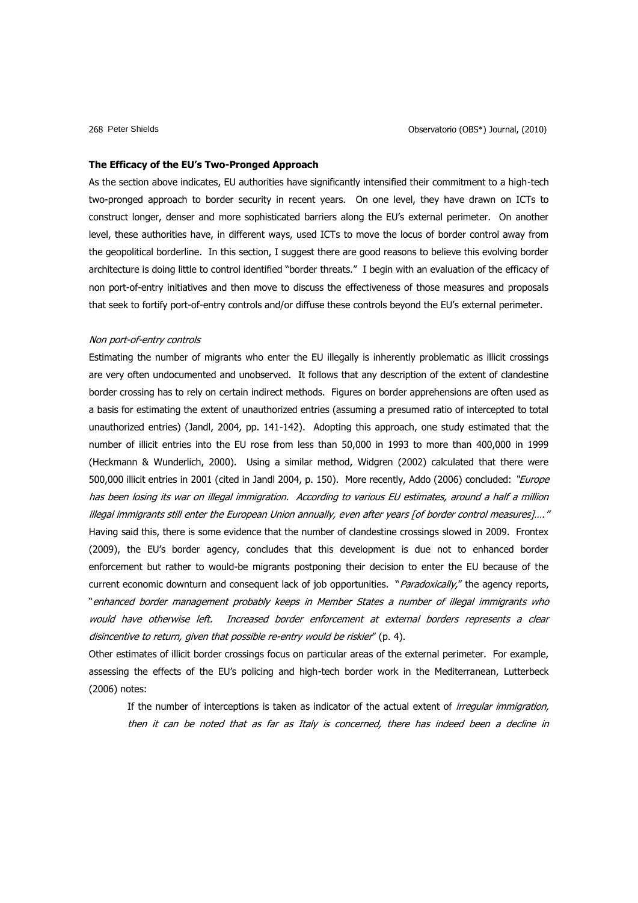#### **The Efficacy of the EU's Two-Pronged Approach**

As the section above indicates, EU authorities have significantly intensified their commitment to a high-tech two-pronged approach to border security in recent years. On one level, they have drawn on ICTs to construct longer, denser and more sophisticated barriers along the EU"s external perimeter. On another level, these authorities have, in different ways, used ICTs to move the locus of border control away from the geopolitical borderline. In this section, I suggest there are good reasons to believe this evolving border architecture is doing little to control identified "border threats." I begin with an evaluation of the efficacy of non port-of-entry initiatives and then move to discuss the effectiveness of those measures and proposals that seek to fortify port-of-entry controls and/or diffuse these controls beyond the EU"s external perimeter.

### Non port-of-entry controls

Estimating the number of migrants who enter the EU illegally is inherently problematic as illicit crossings are very often undocumented and unobserved. It follows that any description of the extent of clandestine border crossing has to rely on certain indirect methods. Figures on border apprehensions are often used as a basis for estimating the extent of unauthorized entries (assuming a presumed ratio of intercepted to total unauthorized entries) (Jandl, 2004, pp. 141-142). Adopting this approach, one study estimated that the number of illicit entries into the EU rose from less than 50,000 in 1993 to more than 400,000 in 1999 (Heckmann & Wunderlich, 2000). Using a similar method, Widgren (2002) calculated that there were 500,000 illicit entries in 2001 (cited in Jandl 2004, p. 150). More recently, Addo (2006) concluded: "Europe has been losing its war on illegal immigration. According to various EU estimates, around a half a million illegal immigrants still enter the European Union annually, even after years [of border control measures]…." Having said this, there is some evidence that the number of clandestine crossings slowed in 2009. Frontex (2009), the EU"s border agency, concludes that this development is due not to enhanced border enforcement but rather to would-be migrants postponing their decision to enter the EU because of the current economic downturn and consequent lack of job opportunities. "Paradoxically," the agency reports, "enhanced border management probably keeps in Member States a number of illegal immigrants who would have otherwise left. Increased border enforcement at external borders represents a clear disincentive to return, given that possible re-entry would be riskier" (p. 4).

Other estimates of illicit border crossings focus on particular areas of the external perimeter. For example, assessing the effects of the EU"s policing and high-tech border work in the Mediterranean, Lutterbeck (2006) notes:

If the number of interceptions is taken as indicator of the actual extent of *irregular immigration*, then it can be noted that as far as Italy is concerned, there has indeed been a decline in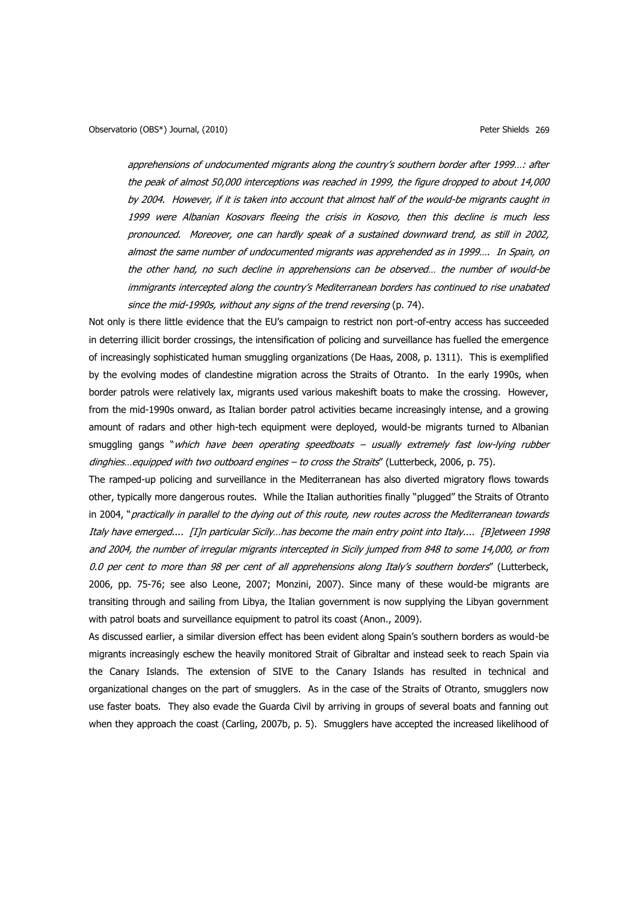apprehensions of undocumented migrants along the country's southern border after 1999...: after the peak of almost 50,000 interceptions was reached in 1999, the figure dropped to about 14,000 by 2004. However, if it is taken into account that almost half of the would-be migrants caught in 1999 were Albanian Kosovars fleeing the crisis in Kosovo, then this decline is much less pronounced. Moreover, one can hardly speak of a sustained downward trend, as still in 2002, almost the same number of undocumented migrants was apprehended as in 1999…. In Spain, on the other hand, no such decline in apprehensions can be observed… the number of would-be immigrants intercepted along the country"s Mediterranean borders has continued to rise unabated since the mid-1990s, without any signs of the trend reversing (p. 74).

Not only is there little evidence that the EU"s campaign to restrict non port-of-entry access has succeeded in deterring illicit border crossings, the intensification of policing and surveillance has fuelled the emergence of increasingly sophisticated human smuggling organizations (De Haas, 2008, p. 1311). This is exemplified by the evolving modes of clandestine migration across the Straits of Otranto. In the early 1990s, when border patrols were relatively lax, migrants used various makeshift boats to make the crossing. However, from the mid-1990s onward, as Italian border patrol activities became increasingly intense, and a growing amount of radars and other high-tech equipment were deployed, would-be migrants turned to Albanian smuggling gangs "which have been operating speedboats - usually extremely fast low-lying rubber dinghies... equipped with two outboard engines - to cross the Straits" (Lutterbeck, 2006, p. 75).

The ramped-up policing and surveillance in the Mediterranean has also diverted migratory flows towards other, typically more dangerous routes. While the Italian authorities finally "plugged" the Straits of Otranto in 2004, "practically in parallel to the dying out of this route, new routes across the Mediterranean towards Italy have emerged.... [I]n particular Sicily…has become the main entry point into Italy.... [B]etween 1998 and 2004, the number of irregular migrants intercepted in Sicily jumped from 848 to some 14,000, or from 0.0 per cent to more than 98 per cent of all apprehensions along Italy's southern borders" (Lutterbeck, 2006, pp. 75-76; see also Leone, 2007; Monzini, 2007). Since many of these would-be migrants are transiting through and sailing from Libya, the Italian government is now supplying the Libyan government with patrol boats and surveillance equipment to patrol its coast (Anon., 2009).

As discussed earlier, a similar diversion effect has been evident along Spain"s southern borders as would-be migrants increasingly eschew the heavily monitored Strait of Gibraltar and instead seek to reach Spain via the Canary Islands. The extension of SIVE to the Canary Islands has resulted in technical and organizational changes on the part of smugglers. As in the case of the Straits of Otranto, smugglers now use faster boats. They also evade the Guarda Civil by arriving in groups of several boats and fanning out when they approach the coast (Carling, 2007b, p. 5). Smugglers have accepted the increased likelihood of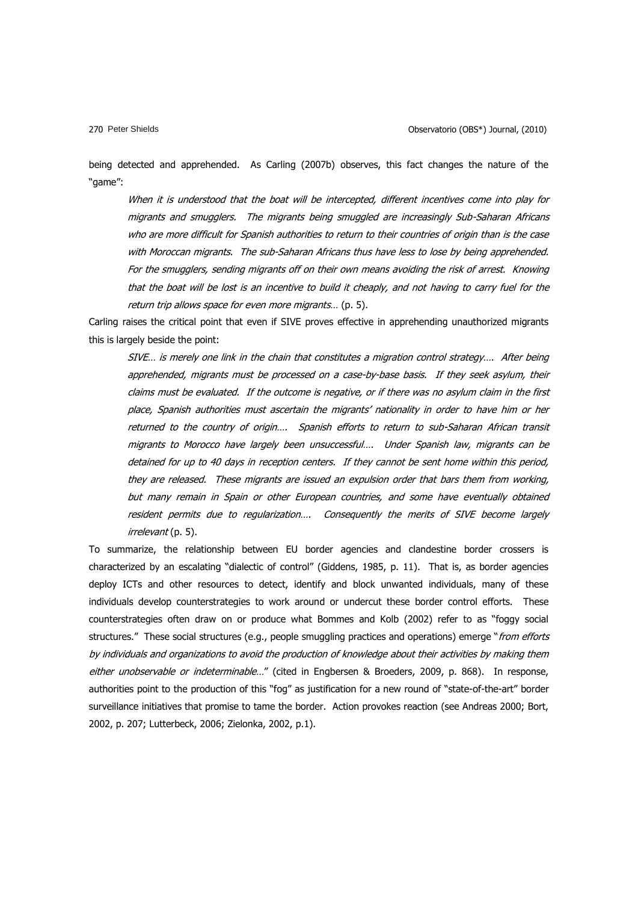being detected and apprehended. As Carling (2007b) observes, this fact changes the nature of the "game":

When it is understood that the boat will be intercepted, different incentives come into play for migrants and smugglers. The migrants being smuggled are increasingly Sub-Saharan Africans who are more difficult for Spanish authorities to return to their countries of origin than is the case with Moroccan migrants. The sub-Saharan Africans thus have less to lose by being apprehended. For the smugglers, sending migrants off on their own means avoiding the risk of arrest. Knowing that the boat will be lost is an incentive to build it cheaply, and not having to carry fuel for the return trip allows space for even more migrants… (p. 5).

Carling raises the critical point that even if SIVE proves effective in apprehending unauthorized migrants this is largely beside the point:

SIVE… is merely one link in the chain that constitutes a migration control strategy…. After being apprehended, migrants must be processed on a case-by-base basis. If they seek asylum, their claims must be evaluated. If the outcome is negative, or if there was no asylum claim in the first place, Spanish authorities must ascertain the migrants" nationality in order to have him or her returned to the country of origin…. Spanish efforts to return to sub-Saharan African transit migrants to Morocco have largely been unsuccessful…. Under Spanish law, migrants can be detained for up to 40 days in reception centers. If they cannot be sent home within this period, they are released. These migrants are issued an expulsion order that bars them from working, but many remain in Spain or other European countries, and some have eventually obtained resident permits due to regularization…. Consequently the merits of SIVE become largely irrelevant (p. 5).

To summarize, the relationship between EU border agencies and clandestine border crossers is characterized by an escalating "dialectic of control" (Giddens, 1985, p. 11). That is, as border agencies deploy ICTs and other resources to detect, identify and block unwanted individuals, many of these individuals develop counterstrategies to work around or undercut these border control efforts. These counterstrategies often draw on or produce what Bommes and Kolb (2002) refer to as "foggy social structures." These social structures (e.g., people smuggling practices and operations) emerge "from efforts by individuals and organizations to avoid the production of knowledge about their activities by making them either unobservable or indeterminable..." (cited in Engbersen & Broeders, 2009, p. 868). In response, authorities point to the production of this "fog" as justification for a new round of "state-of-the-art" border surveillance initiatives that promise to tame the border. Action provokes reaction (see Andreas 2000; Bort, 2002, p. 207; Lutterbeck, 2006; Zielonka, 2002, p.1).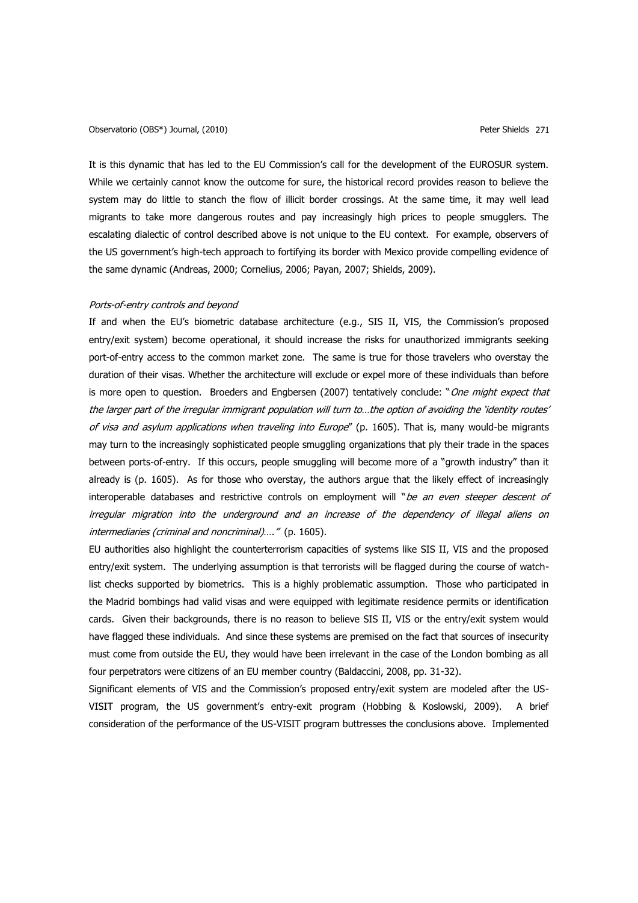## Observatorio (OBS\*) Journal, (2010) Peter Shields 271

It is this dynamic that has led to the EU Commission's call for the development of the EUROSUR system. While we certainly cannot know the outcome for sure, the historical record provides reason to believe the system may do little to stanch the flow of illicit border crossings. At the same time, it may well lead migrants to take more dangerous routes and pay increasingly high prices to people smugglers. The escalating dialectic of control described above is not unique to the EU context. For example, observers of the US government"s high-tech approach to fortifying its border with Mexico provide compelling evidence of the same dynamic (Andreas, 2000; Cornelius, 2006; Payan, 2007; Shields, 2009).

#### Ports-of-entry controls and beyond

If and when the EU's biometric database architecture (e.g., SIS II, VIS, the Commission's proposed entry/exit system) become operational, it should increase the risks for unauthorized immigrants seeking port-of-entry access to the common market zone. The same is true for those travelers who overstay the duration of their visas. Whether the architecture will exclude or expel more of these individuals than before is more open to question. Broeders and Engbersen (2007) tentatively conclude: "One might expect that the larger part of the irregular immigrant population will turn to...the option of avoiding the 'identity routes' of visa and asylum applications when traveling into Europe" (p. 1605). That is, many would-be migrants may turn to the increasingly sophisticated people smuggling organizations that ply their trade in the spaces between ports-of-entry. If this occurs, people smuggling will become more of a "growth industry" than it already is (p. 1605). As for those who overstay, the authors argue that the likely effect of increasingly interoperable databases and restrictive controls on employment will "be an even steeper descent of irregular migration into the underground and an increase of the dependency of illegal aliens on intermediaries (criminal and noncriminal)…." (p. 1605).

EU authorities also highlight the counterterrorism capacities of systems like SIS II, VIS and the proposed entry/exit system. The underlying assumption is that terrorists will be flagged during the course of watchlist checks supported by biometrics. This is a highly problematic assumption. Those who participated in the Madrid bombings had valid visas and were equipped with legitimate residence permits or identification cards. Given their backgrounds, there is no reason to believe SIS II, VIS or the entry/exit system would have flagged these individuals. And since these systems are premised on the fact that sources of insecurity must come from outside the EU, they would have been irrelevant in the case of the London bombing as all four perpetrators were citizens of an EU member country (Baldaccini, 2008, pp. 31-32).

Significant elements of VIS and the Commission's proposed entry/exit system are modeled after the US-VISIT program, the US government"s entry-exit program (Hobbing & Koslowski, 2009). A brief consideration of the performance of the US-VISIT program buttresses the conclusions above. Implemented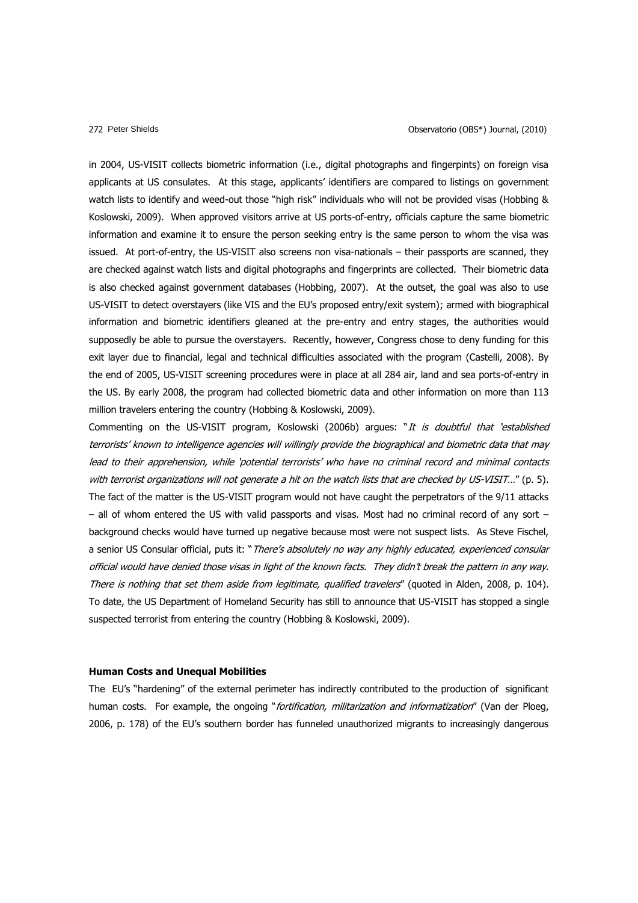in 2004, US-VISIT collects biometric information (i.e., digital photographs and fingerpints) on foreign visa applicants at US consulates. At this stage, applicants' identifiers are compared to listings on government watch lists to identify and weed-out those "high risk" individuals who will not be provided visas (Hobbing & Koslowski, 2009). When approved visitors arrive at US ports-of-entry, officials capture the same biometric information and examine it to ensure the person seeking entry is the same person to whom the visa was issued. At port-of-entry, the US-VISIT also screens non visa-nationals – their passports are scanned, they are checked against watch lists and digital photographs and fingerprints are collected. Their biometric data is also checked against government databases (Hobbing, 2007). At the outset, the goal was also to use US-VISIT to detect overstayers (like VIS and the EU"s proposed entry/exit system); armed with biographical information and biometric identifiers gleaned at the pre-entry and entry stages, the authorities would supposedly be able to pursue the overstayers. Recently, however, Congress chose to deny funding for this exit layer due to financial, legal and technical difficulties associated with the program (Castelli, 2008). By the end of 2005, US-VISIT screening procedures were in place at all 284 air, land and sea ports-of-entry in the US. By early 2008, the program had collected biometric data and other information on more than 113 million travelers entering the country (Hobbing & Koslowski, 2009).

Commenting on the US-VISIT program, Koslowski (2006b) argues: "It is doubtful that 'established terrorists" known to intelligence agencies will willingly provide the biographical and biometric data that may lead to their apprehension, while "potential terrorists" who have no criminal record and minimal contacts with terrorist organizations will not generate a hit on the watch lists that are checked by US-VISIT..." (p. 5). The fact of the matter is the US-VISIT program would not have caught the perpetrators of the 9/11 attacks  $-$  all of whom entered the US with valid passports and visas. Most had no criminal record of any sort  $$ background checks would have turned up negative because most were not suspect lists. As Steve Fischel, a senior US Consular official, puts it: "There's absolutely no way any highly educated, experienced consular official would have denied those visas in light of the known facts. They didn"t break the pattern in any way. There is nothing that set them aside from legitimate, qualified travelers" (quoted in Alden, 2008, p. 104). To date, the US Department of Homeland Security has still to announce that US-VISIT has stopped a single suspected terrorist from entering the country (Hobbing & Koslowski, 2009).

### **Human Costs and Unequal Mobilities**

The EU's "hardening" of the external perimeter has indirectly contributed to the production of significant human costs. For example, the ongoing "fortification, militarization and informatization" (Van der Ploeg, 2006, p. 178) of the EU"s southern border has funneled unauthorized migrants to increasingly dangerous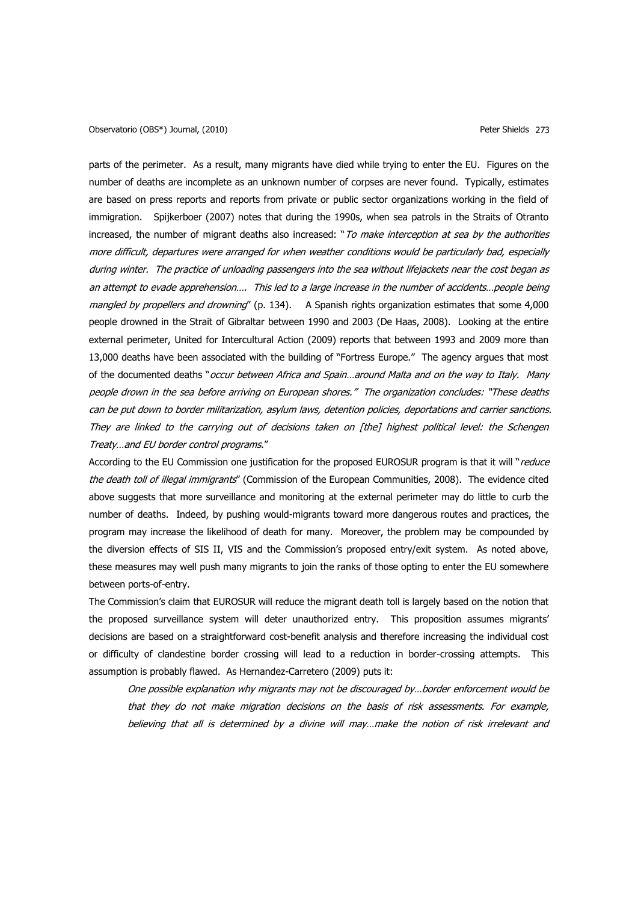parts of the perimeter. As a result, many migrants have died while trying to enter the EU. Figures on the number of deaths are incomplete as an unknown number of corpses are never found. Typically, estimates are based on press reports and reports from private or public sector organizations working in the field of immigration. Spijkerboer (2007) notes that during the 1990s, when sea patrols in the Straits of Otranto increased, the number of migrant deaths also increased: "To make interception at sea by the authorities more difficult, departures were arranged for when weather conditions would be particularly bad, especially during winter. The practice of unloading passengers into the sea without lifejackets near the cost began as an attempt to evade apprehension…. This led to a large increase in the number of accidents…people being mangled by propellers and drowning" (p. 134). A Spanish rights organization estimates that some 4,000 people drowned in the Strait of Gibraltar between 1990 and 2003 (De Haas, 2008). Looking at the entire external perimeter, United for Intercultural Action (2009) reports that between 1993 and 2009 more than 13,000 deaths have been associated with the building of "Fortress Europe." The agency argues that most of the documented deaths "occur between Africa and Spain...around Malta and on the way to Italy. Many people drown in the sea before arriving on European shores." The organization concludes: "These deaths can be put down to border militarization, asylum laws, detention policies, deportations and carrier sanctions. They are linked to the carrying out of decisions taken on [the] highest political level: the Schengen Treaty…and EU border control programs."

According to the EU Commission one justification for the proposed EUROSUR program is that it will "reduce the death toll of illegal immigrants" (Commission of the European Communities, 2008). The evidence cited above suggests that more surveillance and monitoring at the external perimeter may do little to curb the number of deaths. Indeed, by pushing would-migrants toward more dangerous routes and practices, the program may increase the likelihood of death for many. Moreover, the problem may be compounded by the diversion effects of SIS II, VIS and the Commission"s proposed entry/exit system. As noted above, these measures may well push many migrants to join the ranks of those opting to enter the EU somewhere between ports-of-entry.

The Commission"s claim that EUROSUR will reduce the migrant death toll is largely based on the notion that the proposed surveillance system will deter unauthorized entry. This proposition assumes migrants" decisions are based on a straightforward cost-benefit analysis and therefore increasing the individual cost or difficulty of clandestine border crossing will lead to a reduction in border-crossing attempts. This assumption is probably flawed. As Hernandez-Carretero (2009) puts it:

One possible explanation why migrants may not be discouraged by…border enforcement would be that they do not make migration decisions on the basis of risk assessments. For example, believing that all is determined by a divine will may…make the notion of risk irrelevant and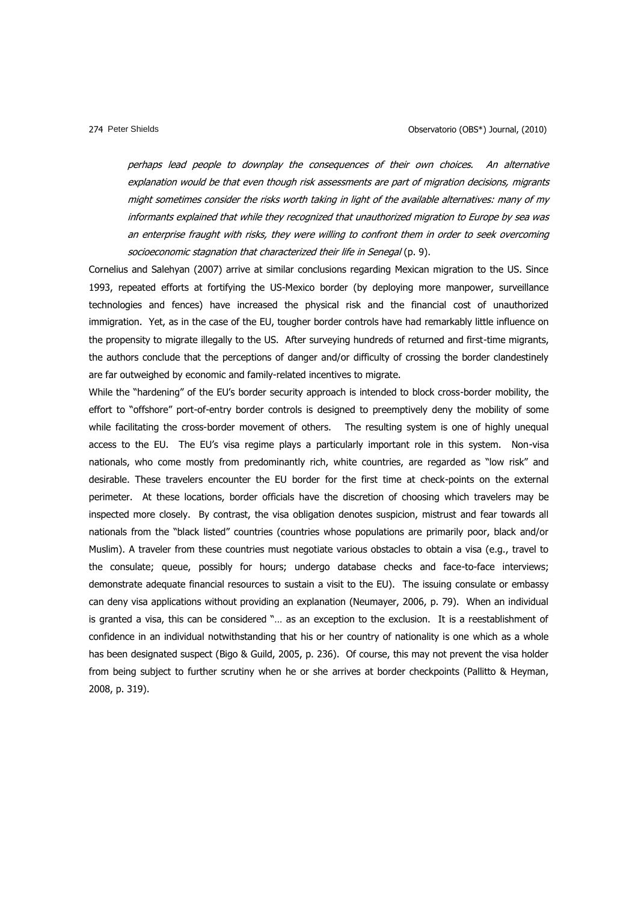perhaps lead people to downplay the consequences of their own choices. An alternative explanation would be that even though risk assessments are part of migration decisions, migrants might sometimes consider the risks worth taking in light of the available alternatives: many of my informants explained that while they recognized that unauthorized migration to Europe by sea was an enterprise fraught with risks, they were willing to confront them in order to seek overcoming socioeconomic stagnation that characterized their life in Senegal (p. 9).

Cornelius and Salehyan (2007) arrive at similar conclusions regarding Mexican migration to the US. Since 1993, repeated efforts at fortifying the US-Mexico border (by deploying more manpower, surveillance technologies and fences) have increased the physical risk and the financial cost of unauthorized immigration. Yet, as in the case of the EU, tougher border controls have had remarkably little influence on the propensity to migrate illegally to the US. After surveying hundreds of returned and first-time migrants, the authors conclude that the perceptions of danger and/or difficulty of crossing the border clandestinely are far outweighed by economic and family-related incentives to migrate.

While the "hardening" of the EU's border security approach is intended to block cross-border mobility, the effort to "offshore" port-of-entry border controls is designed to preemptively deny the mobility of some while facilitating the cross-border movement of others. The resulting system is one of highly unequal access to the EU. The EU"s visa regime plays a particularly important role in this system. Non-visa nationals, who come mostly from predominantly rich, white countries, are regarded as "low risk" and desirable. These travelers encounter the EU border for the first time at check-points on the external perimeter. At these locations, border officials have the discretion of choosing which travelers may be inspected more closely. By contrast, the visa obligation denotes suspicion, mistrust and fear towards all nationals from the "black listed" countries (countries whose populations are primarily poor, black and/or Muslim). A traveler from these countries must negotiate various obstacles to obtain a visa (e.g., travel to the consulate; queue, possibly for hours; undergo database checks and face-to-face interviews; demonstrate adequate financial resources to sustain a visit to the EU). The issuing consulate or embassy can deny visa applications without providing an explanation (Neumayer, 2006, p. 79). When an individual is granted a visa, this can be considered "… as an exception to the exclusion. It is a reestablishment of confidence in an individual notwithstanding that his or her country of nationality is one which as a whole has been designated suspect (Bigo & Guild, 2005, p. 236). Of course, this may not prevent the visa holder from being subject to further scrutiny when he or she arrives at border checkpoints (Pallitto & Heyman, 2008, p. 319).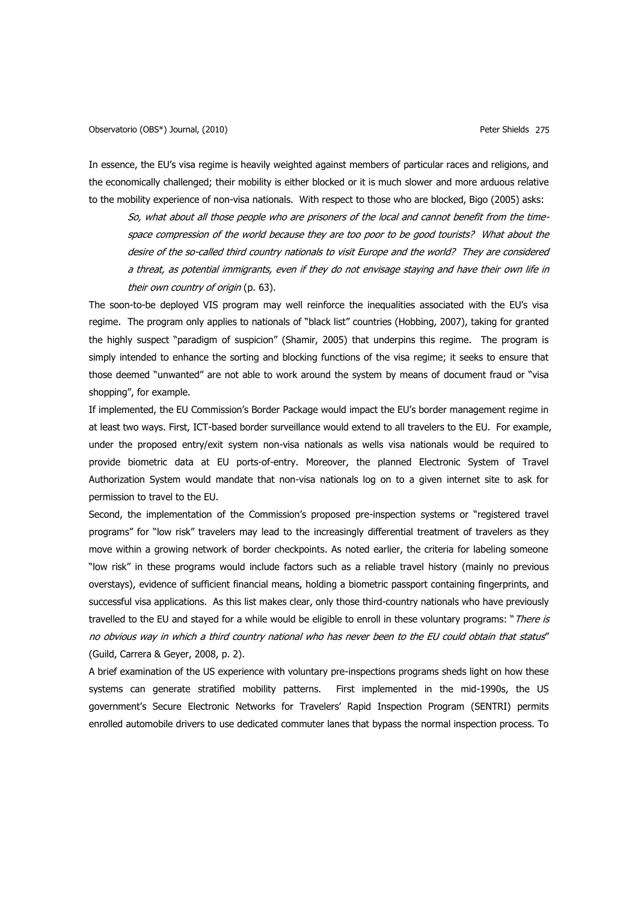In essence, the EU"s visa regime is heavily weighted against members of particular races and religions, and the economically challenged; their mobility is either blocked or it is much slower and more arduous relative to the mobility experience of non-visa nationals. With respect to those who are blocked, Bigo (2005) asks:

So, what about all those people who are prisoners of the local and cannot benefit from the timespace compression of the world because they are too poor to be good tourists? What about the desire of the so-called third country nationals to visit Europe and the world? They are considered a threat, as potential immigrants, even if they do not envisage staying and have their own life in their own country of origin (p. 63).

The soon-to-be deployed VIS program may well reinforce the inequalities associated with the EU's visa regime. The program only applies to nationals of "black list" countries (Hobbing, 2007), taking for granted the highly suspect "paradigm of suspicion" (Shamir, 2005) that underpins this regime. The program is simply intended to enhance the sorting and blocking functions of the visa regime; it seeks to ensure that those deemed "unwanted" are not able to work around the system by means of document fraud or "visa shopping", for example.

If implemented, the EU Commission's Border Package would impact the EU's border management regime in at least two ways. First, ICT-based border surveillance would extend to all travelers to the EU. For example, under the proposed entry/exit system non-visa nationals as wells visa nationals would be required to provide biometric data at EU ports-of-entry. Moreover, the planned Electronic System of Travel Authorization System would mandate that non-visa nationals log on to a given internet site to ask for permission to travel to the EU.

Second, the implementation of the Commission's proposed pre-inspection systems or "registered travel programs" for "low risk" travelers may lead to the increasingly differential treatment of travelers as they move within a growing network of border checkpoints. As noted earlier, the criteria for labeling someone "low risk" in these programs would include factors such as a reliable travel history (mainly no previous overstays), evidence of sufficient financial means, holding a biometric passport containing fingerprints, and successful visa applications. As this list makes clear, only those third-country nationals who have previously travelled to the EU and stayed for a while would be eligible to enroll in these voluntary programs: "There is no obvious way in which a third country national who has never been to the EU could obtain that status" (Guild, Carrera & Geyer, 2008, p. 2).

A brief examination of the US experience with voluntary pre-inspections programs sheds light on how these systems can generate stratified mobility patterns. First implemented in the mid-1990s, the US government"s Secure Electronic Networks for Travelers" Rapid Inspection Program (SENTRI) permits enrolled automobile drivers to use dedicated commuter lanes that bypass the normal inspection process. To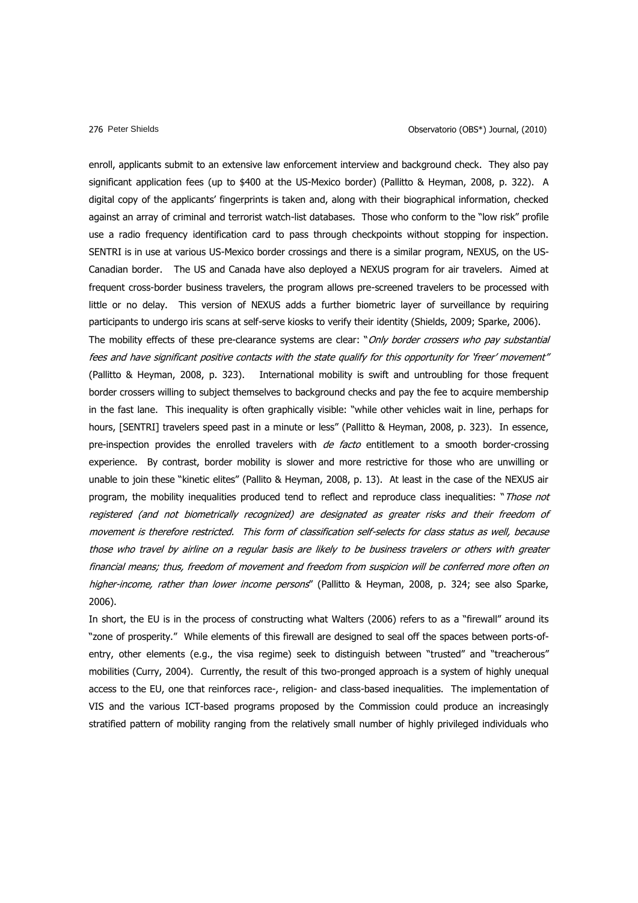enroll, applicants submit to an extensive law enforcement interview and background check. They also pay significant application fees (up to \$400 at the US-Mexico border) (Pallitto & Heyman, 2008, p. 322). A digital copy of the applicants" fingerprints is taken and, along with their biographical information, checked against an array of criminal and terrorist watch-list databases. Those who conform to the "low risk" profile use a radio frequency identification card to pass through checkpoints without stopping for inspection. SENTRI is in use at various US-Mexico border crossings and there is a similar program, NEXUS, on the US-Canadian border. The US and Canada have also deployed a NEXUS program for air travelers. Aimed at frequent cross-border business travelers, the program allows pre-screened travelers to be processed with little or no delay. This version of NEXUS adds a further biometric layer of surveillance by requiring participants to undergo iris scans at self-serve kiosks to verify their identity (Shields, 2009; Sparke, 2006). The mobility effects of these pre-clearance systems are clear: "Only border crossers who pay substantial fees and have significant positive contacts with the state qualify for this opportunity for "freer" movement" (Pallitto & Heyman, 2008, p. 323). International mobility is swift and untroubling for those frequent border crossers willing to subject themselves to background checks and pay the fee to acquire membership in the fast lane. This inequality is often graphically visible: "while other vehicles wait in line, perhaps for hours, [SENTRI] travelers speed past in a minute or less" (Pallitto & Heyman, 2008, p. 323). In essence, pre-inspection provides the enrolled travelers with *de facto* entitlement to a smooth border-crossing experience. By contrast, border mobility is slower and more restrictive for those who are unwilling or unable to join these "kinetic elites" (Pallito & Heyman, 2008, p. 13). At least in the case of the NEXUS air program, the mobility inequalities produced tend to reflect and reproduce class inequalities: "Those not registered (and not biometrically recognized) are designated as greater risks and their freedom of movement is therefore restricted. This form of classification self-selects for class status as well, because those who travel by airline on a regular basis are likely to be business travelers or others with greater financial means; thus, freedom of movement and freedom from suspicion will be conferred more often on higher-income, rather than lower income persons" (Pallitto & Heyman, 2008, p. 324; see also Sparke, 2006).

In short, the EU is in the process of constructing what Walters (2006) refers to as a "firewall" around its "zone of prosperity." While elements of this firewall are designed to seal off the spaces between ports-ofentry, other elements (e.g., the visa regime) seek to distinguish between "trusted" and "treacherous" mobilities (Curry, 2004). Currently, the result of this two-pronged approach is a system of highly unequal access to the EU, one that reinforces race-, religion- and class-based inequalities. The implementation of VIS and the various ICT-based programs proposed by the Commission could produce an increasingly stratified pattern of mobility ranging from the relatively small number of highly privileged individuals who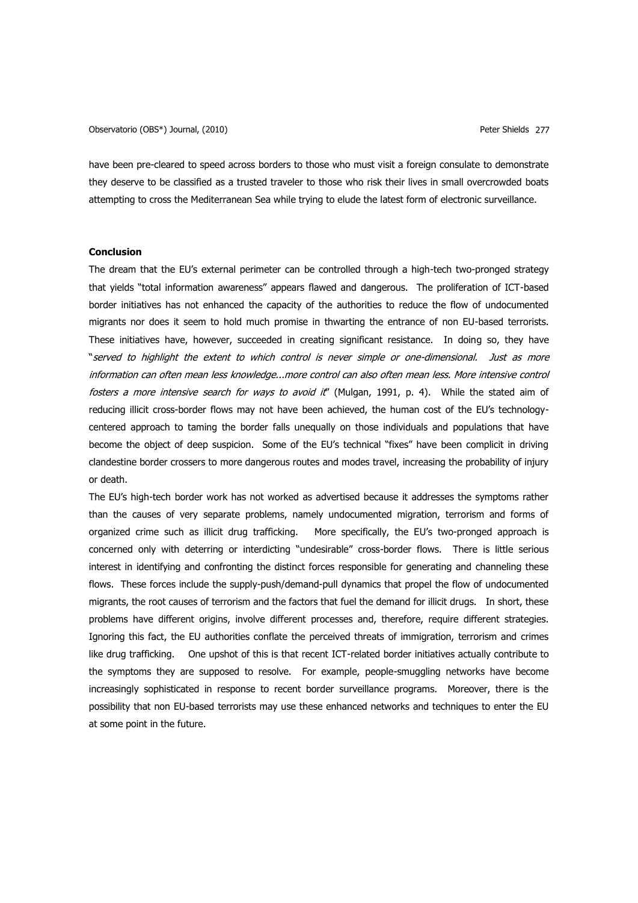Observatorio (OBS\*) Journal, (2010) Peter Shields 277

have been pre-cleared to speed across borders to those who must visit a foreign consulate to demonstrate they deserve to be classified as a trusted traveler to those who risk their lives in small overcrowded boats attempting to cross the Mediterranean Sea while trying to elude the latest form of electronic surveillance.

## **Conclusion**

The dream that the EU"s external perimeter can be controlled through a high-tech two-pronged strategy that yields "total information awareness" appears flawed and dangerous. The proliferation of ICT-based border initiatives has not enhanced the capacity of the authorities to reduce the flow of undocumented migrants nor does it seem to hold much promise in thwarting the entrance of non EU-based terrorists. These initiatives have, however, succeeded in creating significant resistance. In doing so, they have "served to highlight the extent to which control is never simple or one-dimensional. Just as more information can often mean less knowledge...more control can also often mean less. More intensive control fosters a more intensive search for ways to avoid it" (Mulgan, 1991, p. 4). While the stated aim of reducing illicit cross-border flows may not have been achieved, the human cost of the EU"s technologycentered approach to taming the border falls unequally on those individuals and populations that have become the object of deep suspicion. Some of the EU"s technical "fixes" have been complicit in driving clandestine border crossers to more dangerous routes and modes travel, increasing the probability of injury or death.

The EU"s high-tech border work has not worked as advertised because it addresses the symptoms rather than the causes of very separate problems, namely undocumented migration, terrorism and forms of organized crime such as illicit drug trafficking. More specifically, the EU's two-pronged approach is concerned only with deterring or interdicting "undesirable" cross-border flows. There is little serious interest in identifying and confronting the distinct forces responsible for generating and channeling these flows. These forces include the supply-push/demand-pull dynamics that propel the flow of undocumented migrants, the root causes of terrorism and the factors that fuel the demand for illicit drugs. In short, these problems have different origins, involve different processes and, therefore, require different strategies. Ignoring this fact, the EU authorities conflate the perceived threats of immigration, terrorism and crimes like drug trafficking. One upshot of this is that recent ICT-related border initiatives actually contribute to the symptoms they are supposed to resolve. For example, people-smuggling networks have become increasingly sophisticated in response to recent border surveillance programs. Moreover, there is the possibility that non EU-based terrorists may use these enhanced networks and techniques to enter the EU at some point in the future.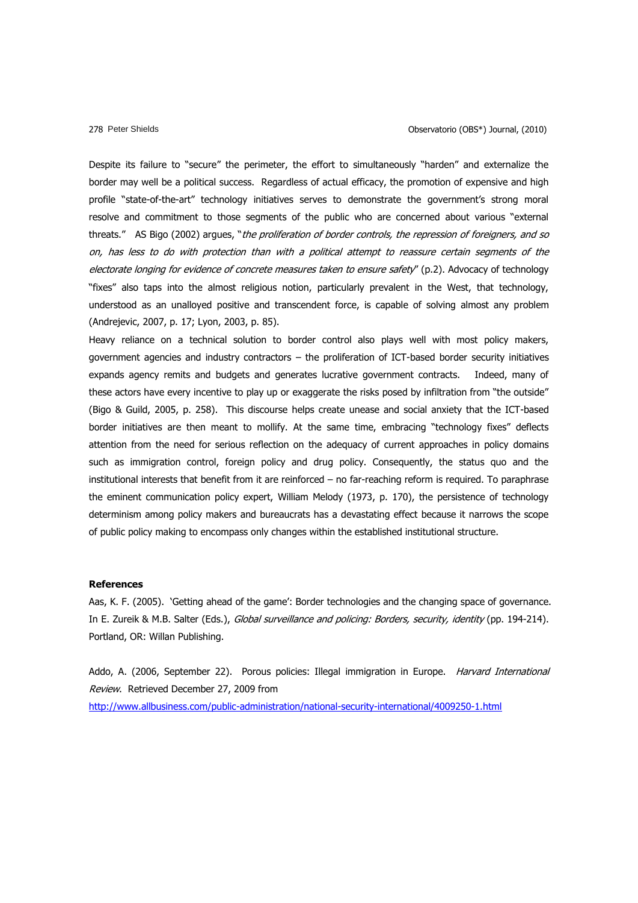Despite its failure to "secure" the perimeter, the effort to simultaneously "harden" and externalize the border may well be a political success. Regardless of actual efficacy, the promotion of expensive and high profile "state-of-the-art" technology initiatives serves to demonstrate the government's strong moral resolve and commitment to those segments of the public who are concerned about various "external threats." AS Bigo (2002) argues, "the proliferation of border controls, the repression of foreigners, and so on, has less to do with protection than with a political attempt to reassure certain segments of the electorate longing for evidence of concrete measures taken to ensure safety" (p.2). Advocacy of technology "fixes" also taps into the almost religious notion, particularly prevalent in the West, that technology, understood as an unalloyed positive and transcendent force, is capable of solving almost any problem (Andrejevic, 2007, p. 17; Lyon, 2003, p. 85).

Heavy reliance on a technical solution to border control also plays well with most policy makers, government agencies and industry contractors – the proliferation of ICT-based border security initiatives expands agency remits and budgets and generates lucrative government contracts. Indeed, many of these actors have every incentive to play up or exaggerate the risks posed by infiltration from "the outside" (Bigo & Guild, 2005, p. 258). This discourse helps create unease and social anxiety that the ICT-based border initiatives are then meant to mollify. At the same time, embracing "technology fixes" deflects attention from the need for serious reflection on the adequacy of current approaches in policy domains such as immigration control, foreign policy and drug policy. Consequently, the status quo and the institutional interests that benefit from it are reinforced – no far-reaching reform is required. To paraphrase the eminent communication policy expert, William Melody (1973, p. 170), the persistence of technology determinism among policy makers and bureaucrats has a devastating effect because it narrows the scope of public policy making to encompass only changes within the established institutional structure.

## **References**

Aas, K. F. (2005). 'Getting ahead of the game': Border technologies and the changing space of governance. In E. Zureik & M.B. Salter (Eds.), Global surveillance and policing: Borders, security, identity (pp. 194-214). Portland, OR: Willan Publishing.

Addo, A. (2006, September 22). Porous policies: Illegal immigration in Europe. Harvard International Review. Retrieved December 27, 2009 from

<http://www.allbusiness.com/public-administration/national-security-international/4009250-1.html>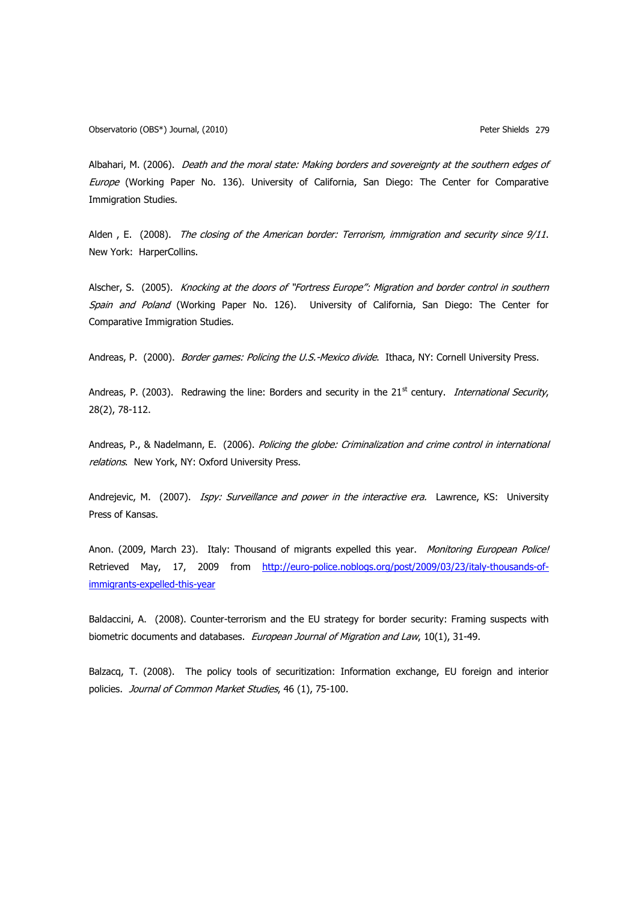Albahari, M. (2006). Death and the moral state: Making borders and sovereignty at the southern edges of Europe (Working Paper No. 136). University of California, San Diego: The Center for Comparative Immigration Studies.

Alden, E. (2008). The closing of the American border: Terrorism, immigration and security since 9/11. New York: HarperCollins.

Alscher, S. (2005). Knocking at the doors of "Fortress Europe": Migration and border control in southern Spain and Poland (Working Paper No. 126). University of California, San Diego: The Center for Comparative Immigration Studies.

Andreas, P. (2000). Border games: Policing the U.S.-Mexico divide. Ithaca, NY: Cornell University Press.

Andreas, P. (2003). Redrawing the line: Borders and security in the  $21<sup>st</sup>$  century. *International Security*, 28(2), 78-112.

Andreas, P., & Nadelmann, E. (2006). Policing the globe: Criminalization and crime control in international relations. New York, NY: Oxford University Press.

Andrejevic, M. (2007). Ispy: Surveillance and power in the interactive era. Lawrence, KS: University Press of Kansas.

Anon. (2009, March 23). Italy: Thousand of migrants expelled this year. Monitoring European Police! Retrieved May, 17, 2009 from [http://euro-police.noblogs.org/post/2009/03/23/italy-thousands-of](http://euro-police.noblogs.org/post/2009/03/23/italy-thousands-of-immigrants-expelled-this-year)[immigrants-expelled-this-year](http://euro-police.noblogs.org/post/2009/03/23/italy-thousands-of-immigrants-expelled-this-year)

Baldaccini, A. (2008). Counter-terrorism and the EU strategy for border security: Framing suspects with biometric documents and databases. European Journal of Migration and Law, 10(1), 31-49.

Balzacq, T. (2008). The policy tools of securitization: Information exchange, EU foreign and interior policies. Journal of Common Market Studies, 46 (1), 75-100.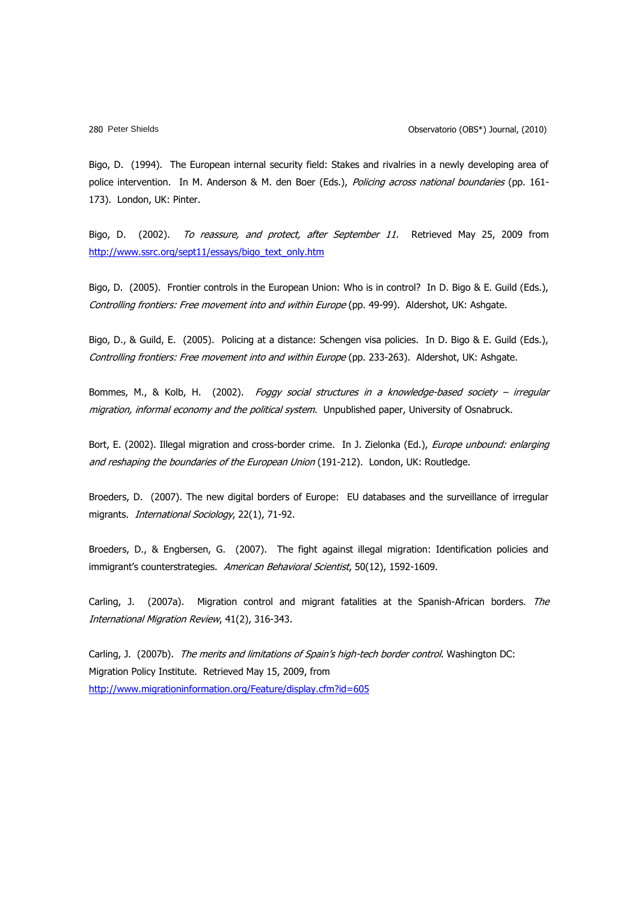Bigo, D. (1994). The European internal security field: Stakes and rivalries in a newly developing area of police intervention. In M. Anderson & M. den Boer (Eds.), Policing across national boundaries (pp. 161-173). London, UK: Pinter.

Bigo, D. (2002). To reassure, and protect, after September 11. Retrieved May 25, 2009 from [http://www.ssrc.org/sept11/essays/bigo\\_text\\_only.htm](http://www.ssrc.org/sept11/essays/bigo_text_only.htm)

Bigo, D. (2005). Frontier controls in the European Union: Who is in control? In D. Bigo & E. Guild (Eds.), Controlling frontiers: Free movement into and within Europe (pp. 49-99). Aldershot, UK: Ashgate.

Bigo, D., & Guild, E. (2005). Policing at a distance: Schengen visa policies. In D. Bigo & E. Guild (Eds.), Controlling frontiers: Free movement into and within Europe (pp. 233-263). Aldershot, UK: Ashgate.

Bommes, M., & Kolb, H. (2002). Foggy social structures in a knowledge-based society - irregular migration, informal economy and the political system. Unpublished paper, University of Osnabruck.

Bort, E. (2002). Illegal migration and cross-border crime. In J. Zielonka (Ed.), Europe unbound: enlarging and reshaping the boundaries of the European Union (191-212). London, UK: Routledge.

Broeders, D. (2007). The new digital borders of Europe: EU databases and the surveillance of irregular migrants. International Sociology, 22(1), 71-92.

Broeders, D., & Engbersen, G. (2007). The fight against illegal migration: Identification policies and immigrant's counterstrategies. American Behavioral Scientist, 50(12), 1592-1609.

Carling, J. (2007a). Migration control and migrant fatalities at the Spanish-African borders. The International Migration Review, 41(2), 316-343.

Carling, J. (2007b). The merits and limitations of Spain's high-tech border control. Washington DC: Migration Policy Institute. Retrieved May 15, 2009, from <http://www.migrationinformation.org/Feature/display.cfm?id=605>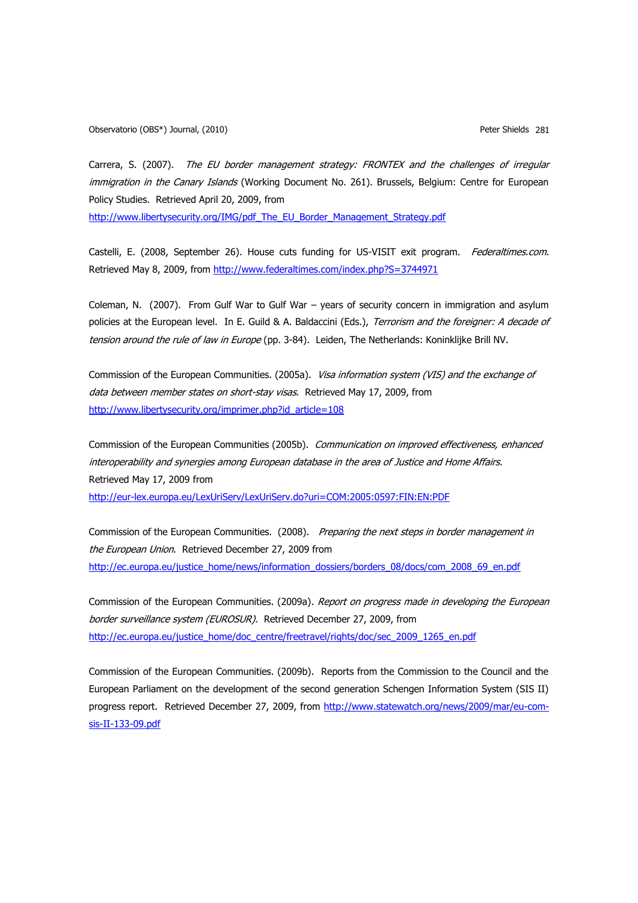Carrera, S. (2007). The EU border management strategy: FRONTEX and the challenges of irregular immigration in the Canary Islands (Working Document No. 261). Brussels, Belgium: Centre for European Policy Studies. Retrieved April 20, 2009, from

[http://www.libertysecurity.org/IMG/pdf\\_The\\_EU\\_Border\\_Management\\_Strategy.pdf](http://www.libertysecurity.org/IMG/pdf_The_EU_Border_Management_Strategy.pdf)

Castelli, E. (2008, September 26). House cuts funding for US-VISIT exit program. Federaltimes.com. Retrieved May 8, 2009, from<http://www.federaltimes.com/index.php?S=3744971>

Coleman, N. (2007). From Gulf War to Gulf War – years of security concern in immigration and asylum policies at the European level. In E. Guild & A. Baldaccini (Eds.), Terrorism and the foreigner: A decade of tension around the rule of law in Europe (pp. 3-84). Leiden, The Netherlands: Koninklijke Brill NV.

Commission of the European Communities. (2005a). Visa information system (VIS) and the exchange of data between member states on short-stay visas. Retrieved May 17, 2009, from [http://www.libertysecurity.org/imprimer.php?id\\_article=108](http://www.libertysecurity.org/imprimer.php?id_article=108)

Commission of the European Communities (2005b). Communication on improved effectiveness, enhanced interoperability and synergies among European database in the area of Justice and Home Affairs. Retrieved May 17, 2009 from

<http://eur-lex.europa.eu/LexUriServ/LexUriServ.do?uri=COM:2005:0597:FIN:EN:PDF>

Commission of the European Communities. (2008). Preparing the next steps in border management in the European Union. Retrieved December 27, 2009 from [http://ec.europa.eu/justice\\_home/news/information\\_dossiers/borders\\_08/docs/com\\_2008\\_69\\_en.pdf](http://ec.europa.eu/justice_home/news/information_dossiers/borders_08/docs/com_2008_69_en.pdf)

Commission of the European Communities. (2009a). Report on progress made in developing the European border surveillance system (EUROSUR). Retrieved December 27, 2009, from [http://ec.europa.eu/justice\\_home/doc\\_centre/freetravel/rights/doc/sec\\_2009\\_1265\\_en.pdf](http://ec.europa.eu/justice_home/doc_centre/freetravel/rights/doc/sec_2009_1265_en.pdf)

Commission of the European Communities. (2009b). Reports from the Commission to the Council and the European Parliament on the development of the second generation Schengen Information System (SIS II) progress report. Retrieved December 27, 2009, from [http://www.statewatch.org/news/2009/mar/eu-com](http://www.statewatch.org/news/2009/mar/eu-com-sis-II-133-09.pdf)[sis-II-133-09.pdf](http://www.statewatch.org/news/2009/mar/eu-com-sis-II-133-09.pdf)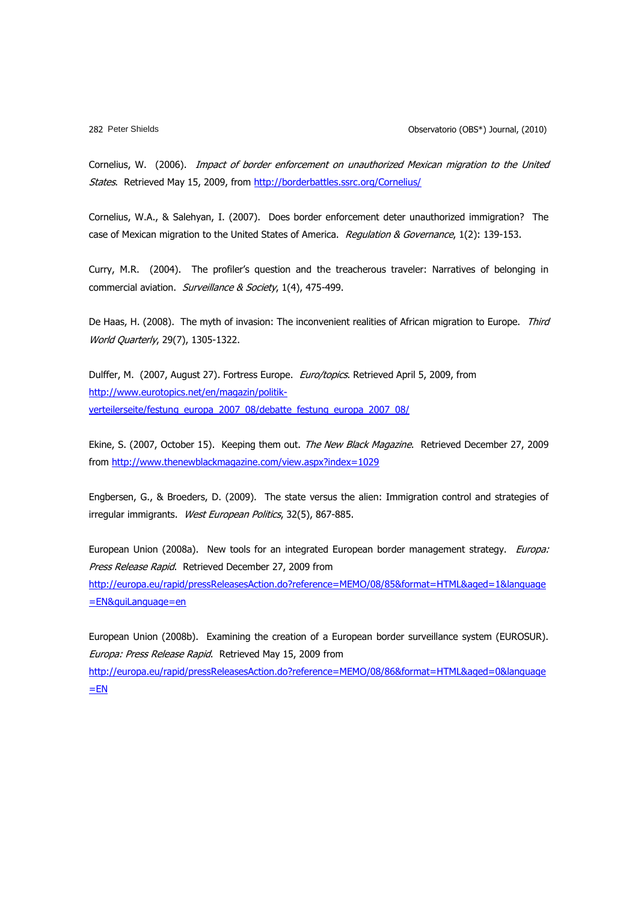Cornelius, W. (2006). Impact of border enforcement on unauthorized Mexican migration to the United States. Retrieved May 15, 2009, from<http://borderbattles.ssrc.org/Cornelius/>

Cornelius, W.A., & Salehyan, I. (2007). Does border enforcement deter unauthorized immigration? The case of Mexican migration to the United States of America. Regulation & Governance, 1(2): 139-153.

Curry, M.R. (2004). The profiler"s question and the treacherous traveler: Narratives of belonging in commercial aviation. Surveillance & Society, 1(4), 475-499.

De Haas, H. (2008). The myth of invasion: The inconvenient realities of African migration to Europe. Third World Quarterly, 29(7), 1305-1322.

Dulffer, M. (2007, August 27). Fortress Europe. Euro/topics. Retrieved April 5, 2009, from [http://www.eurotopics.net/en/magazin/politik](http://www.eurotopics.net/en/magazin/politik-verteilerseite/festung_europa_2007_08/debatte_festung_europa_2007_08/)[verteilerseite/festung\\_europa\\_2007\\_08/debatte\\_festung\\_europa\\_2007\\_08/](http://www.eurotopics.net/en/magazin/politik-verteilerseite/festung_europa_2007_08/debatte_festung_europa_2007_08/)

Ekine, S. (2007, October 15). Keeping them out. The New Black Magazine. Retrieved December 27, 2009 from<http://www.thenewblackmagazine.com/view.aspx?index=1029>

Engbersen, G., & Broeders, D. (2009). The state versus the alien: Immigration control and strategies of irregular immigrants. West European Politics, 32(5), 867-885.

European Union (2008a). New tools for an integrated European border management strategy. Europa: Press Release Rapid. Retrieved December 27, 2009 from [http://europa.eu/rapid/pressReleasesAction.do?reference=MEMO/08/85&format=HTML&aged=1&language](http://europa.eu/rapid/pressReleasesAction.do?reference=MEMO/08/85&format=HTML&aged=1&language=EN&guiLanguage=en) [=EN&guiLanguage=en](http://europa.eu/rapid/pressReleasesAction.do?reference=MEMO/08/85&format=HTML&aged=1&language=EN&guiLanguage=en)

European Union (2008b). Examining the creation of a European border surveillance system (EUROSUR). Europa: Press Release Rapid. Retrieved May 15, 2009 from

[http://europa.eu/rapid/pressReleasesAction.do?reference=MEMO/08/86&format=HTML&aged=0&language](http://europa.eu/rapid/pressReleasesAction.do?reference=MEMO/08/86&format=HTML&aged=0&language=EN)  $=EN$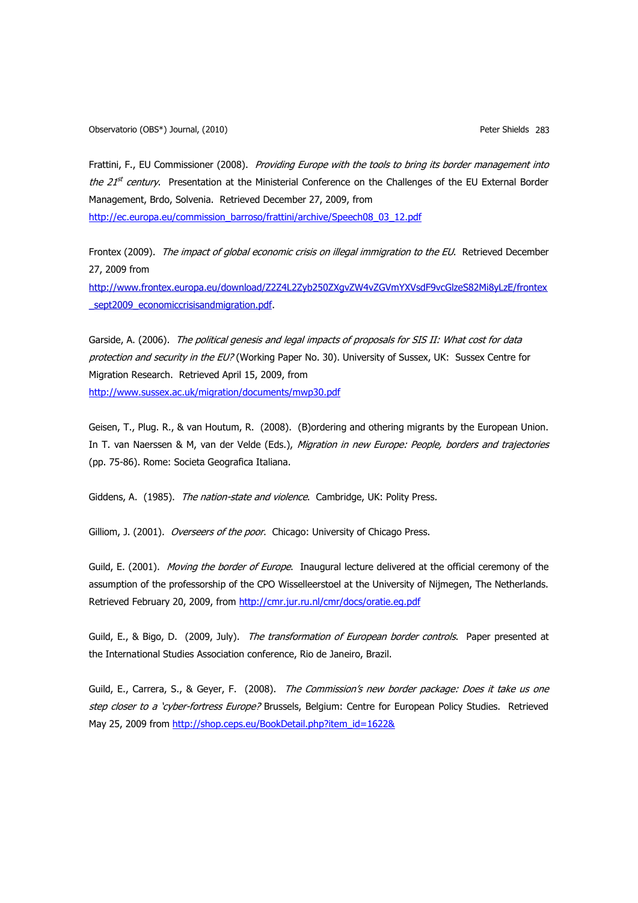Frattini, F., EU Commissioner (2008). Providing Europe with the tools to bring its border management into the 21<sup>st</sup> century. Presentation at the Ministerial Conference on the Challenges of the EU External Border Management, Brdo, Solvenia. Retrieved December 27, 2009, from

[http://ec.europa.eu/commission\\_barroso/frattini/archive/Speech08\\_03\\_12.pdf](http://ec.europa.eu/commission_barroso/frattini/archive/Speech08_03_12.pdf)

Frontex (2009). The impact of global economic crisis on illegal immigration to the EU. Retrieved December 27, 2009 from

[http://www.frontex.europa.eu/download/Z2Z4L2Zyb250ZXgvZW4vZGVmYXVsdF9vcGlzeS82Mi8yLzE/frontex](http://www.frontex.europa.eu/download/Z2Z4L2Zyb250ZXgvZW4vZGVmYXVsdF9vcGlzeS82Mi8yLzE/frontex_sept2009_economiccrisisandmigration.pdf) sept2009\_economiccrisisandmigration.pdf.

Garside, A. (2006). The political genesis and legal impacts of proposals for SIS II: What cost for data protection and security in the EU? (Working Paper No. 30). University of Sussex, UK: Sussex Centre for Migration Research. Retrieved April 15, 2009, from <http://www.sussex.ac.uk/migration/documents/mwp30.pdf>

Geisen, T., Plug. R., & van Houtum, R. (2008). (B)ordering and othering migrants by the European Union. In T. van Naerssen & M, van der Velde (Eds.), Migration in new Europe: People, borders and trajectories (pp. 75-86). Rome: Societa Geografica Italiana.

Giddens, A. (1985). The nation-state and violence. Cambridge, UK: Polity Press.

Gilliom, J. (2001). Overseers of the poor. Chicago: University of Chicago Press.

Guild, E. (2001). Moving the border of Europe. Inaugural lecture delivered at the official ceremony of the assumption of the professorship of the CPO Wisselleerstoel at the University of Nijmegen, The Netherlands. Retrieved February 20, 2009, from<http://cmr.jur.ru.nl/cmr/docs/oratie.eg.pdf>

Guild, E., & Bigo, D. (2009, July). The transformation of European border controls. Paper presented at the International Studies Association conference, Rio de Janeiro, Brazil.

Guild, E., Carrera, S., & Geyer, F. (2008). The Commission's new border package: Does it take us one step closer to a 'cyber-fortress Europe? Brussels, Belgium: Centre for European Policy Studies. Retrieved May 25, 2009 from [http://shop.ceps.eu/BookDetail.php?item\\_id=1622&](http://shop.ceps.eu/BookDetail.php?item_id=1622&)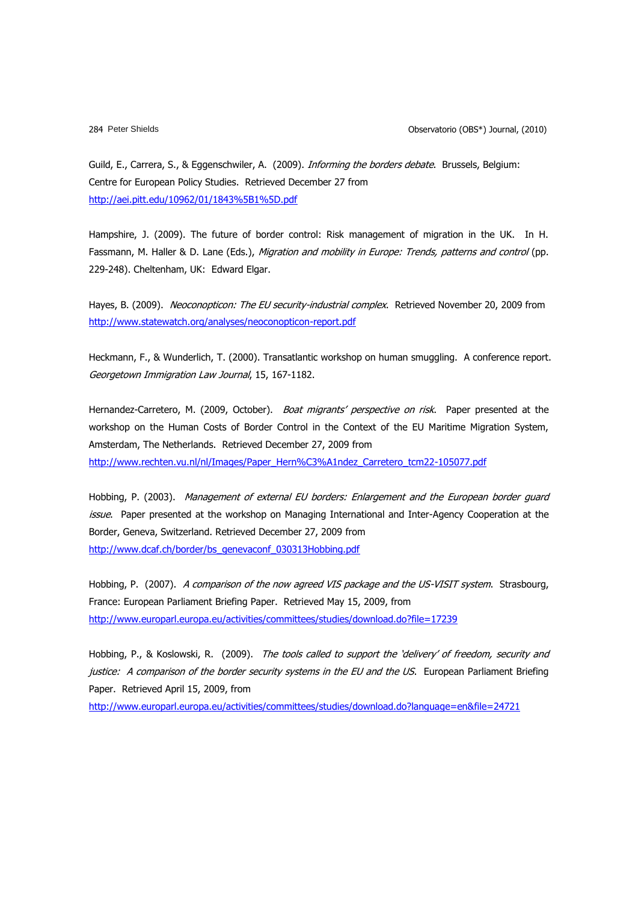Guild, E., Carrera, S., & Eggenschwiler, A. (2009). *Informing the borders debate*. Brussels, Belgium: Centre for European Policy Studies. Retrieved December 27 from <http://aei.pitt.edu/10962/01/1843%5B1%5D.pdf>

Hampshire, J. (2009). The future of border control: Risk management of migration in the UK. In H. Fassmann, M. Haller & D. Lane (Eds.), Migration and mobility in Europe: Trends, patterns and control (pp. 229-248). Cheltenham, UK: Edward Elgar.

Hayes, B. (2009). Neoconopticon: The EU security-industrial complex. Retrieved November 20, 2009 from <http://www.statewatch.org/analyses/neoconopticon-report.pdf>

Heckmann, F., & Wunderlich, T. (2000). Transatlantic workshop on human smuggling. A conference report. Georgetown Immigration Law Journal, 15, 167-1182.

Hernandez-Carretero, M. (2009, October). Boat migrants' perspective on risk. Paper presented at the workshop on the Human Costs of Border Control in the Context of the EU Maritime Migration System, Amsterdam, The Netherlands. Retrieved December 27, 2009 from [http://www.rechten.vu.nl/nl/Images/Paper\\_Hern%C3%A1ndez\\_Carretero\\_tcm22-105077.pdf](http://www.rechten.vu.nl/nl/Images/Paper_Hern%C3%A1ndez_Carretero_tcm22-105077.pdf)

Hobbing, P. (2003). Management of external EU borders: Enlargement and the European border guard issue. Paper presented at the workshop on Managing International and Inter-Agency Cooperation at the Border, Geneva, Switzerland. Retrieved December 27, 2009 from [http://www.dcaf.ch/border/bs\\_genevaconf\\_030313Hobbing.pdf](http://www.dcaf.ch/border/bs_genevaconf_030313Hobbing.pdf)

Hobbing, P. (2007). A comparison of the now agreed VIS package and the US-VISIT system. Strasbourg, France: European Parliament Briefing Paper. Retrieved May 15, 2009, from <http://www.europarl.europa.eu/activities/committees/studies/download.do?file=17239>

Hobbing, P., & Koslowski, R. (2009). The tools called to support the 'delivery' of freedom, security and justice: A comparison of the border security systems in the EU and the US. European Parliament Briefing Paper. Retrieved April 15, 2009, from

<http://www.europarl.europa.eu/activities/committees/studies/download.do?language=en&file=24721>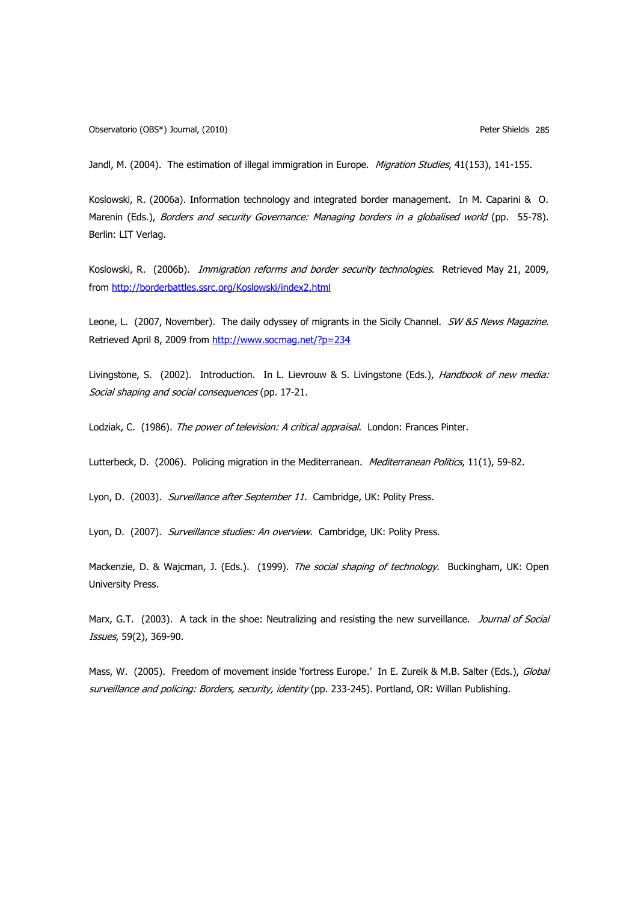Observatorio (OBS\*) Journal, (2010) Peter Shields 285

Jandl, M. (2004). The estimation of illegal immigration in Europe. Migration Studies, 41(153), 141-155.

Koslowski, R. (2006a). Information technology and integrated border management. In M. Caparini & O. Marenin (Eds.), Borders and security Governance: Managing borders in a globalised world (pp. 55-78). Berlin: LIT Verlag.

Koslowski, R. (2006b). Immigration reforms and border security technologies. Retrieved May 21, 2009, from<http://borderbattles.ssrc.org/Koslowski/index2.html>

Leone, L. (2007, November). The daily odyssey of migrants in the Sicily Channel. SW &S News Magazine. Retrieved April 8, 2009 from<http://www.socmag.net/?p=234>

Livingstone, S. (2002). Introduction. In L. Lievrouw & S. Livingstone (Eds.), *Handbook of new media:* Social shaping and social consequences (pp. 17-21.

Lodziak, C. (1986). The power of television: A critical appraisal. London: Frances Pinter.

Lutterbeck, D. (2006). Policing migration in the Mediterranean. *Mediterranean Politics*, 11(1), 59-82.

Lyon, D. (2003). Surveillance after September 11. Cambridge, UK: Polity Press.

Lyon, D. (2007). Surveillance studies: An overview. Cambridge, UK: Polity Press.

Mackenzie, D. & Wajcman, J. (Eds.). (1999). The social shaping of technology. Buckingham, UK: Open University Press.

Marx, G.T. (2003). A tack in the shoe: Neutralizing and resisting the new surveillance. Journal of Social Issues, 59(2), 369-90.

Mass, W. (2005). Freedom of movement inside 'fortress Europe.' In E. Zureik & M.B. Salter (Eds.), Global surveillance and policing: Borders, security, identity (pp. 233-245). Portland, OR: Willan Publishing.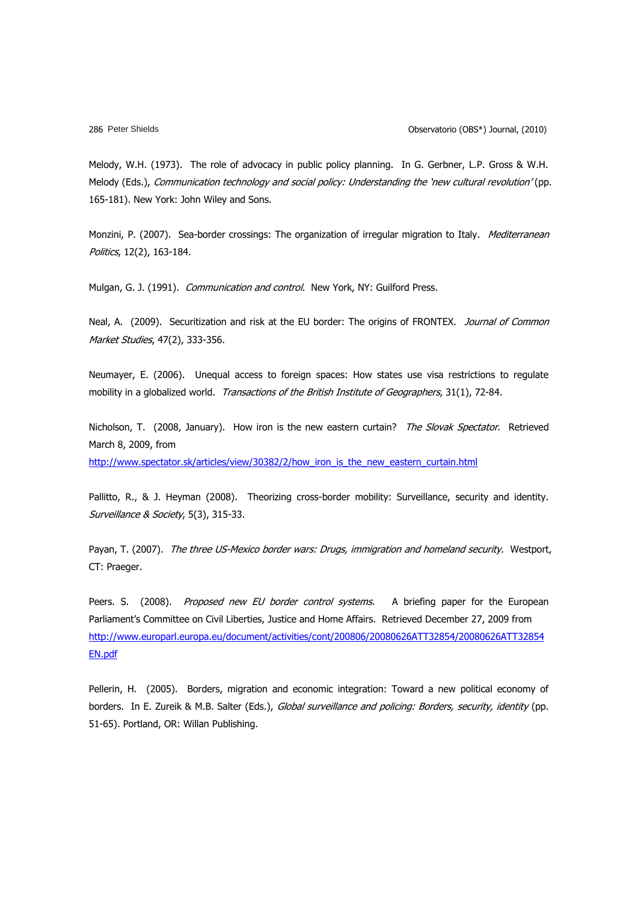Melody, W.H. (1973). The role of advocacy in public policy planning. In G. Gerbner, L.P. Gross & W.H. Melody (Eds.), Communication technology and social policy: Understanding the 'new cultural revolution' (pp. 165-181). New York: John Wiley and Sons.

Monzini, P. (2007). Sea-border crossings: The organization of irregular migration to Italy. *Mediterranean* Politics, 12(2), 163-184.

Mulgan, G. J. (1991). Communication and control. New York, NY: Guilford Press.

Neal, A. (2009). Securitization and risk at the EU border: The origins of FRONTEX. Journal of Common Market Studies, 47(2), 333-356.

Neumayer, E. (2006). Unequal access to foreign spaces: How states use visa restrictions to regulate mobility in a globalized world. Transactions of the British Institute of Geographers, 31(1), 72-84.

Nicholson, T. (2008, January). How iron is the new eastern curtain? The Slovak Spectator. Retrieved March 8, 2009, from

[http://www.spectator.sk/articles/view/30382/2/how\\_iron\\_is\\_the\\_new\\_eastern\\_curtain.html](http://www.spectator.sk/articles/view/30382/2/how_iron_is_the_new_eastern_curtain.html)

Pallitto, R., & J. Heyman (2008). Theorizing cross-border mobility: Surveillance, security and identity. Surveillance & Society, 5(3), 315-33.

Payan, T. (2007). The three US-Mexico border wars: Drugs, immigration and homeland security. Westport, CT: Praeger.

Peers. S. (2008). Proposed new EU border control systems. A briefing paper for the European Parliament"s Committee on Civil Liberties, Justice and Home Affairs. Retrieved December 27, 2009 from [http://www.europarl.europa.eu/document/activities/cont/200806/20080626ATT32854/20080626ATT32854](http://www.europarl.europa.eu/document/activities/cont/200806/20080626ATT32854/20080626ATT32854EN.pdf) [EN.pdf](http://www.europarl.europa.eu/document/activities/cont/200806/20080626ATT32854/20080626ATT32854EN.pdf)

Pellerin, H. (2005). Borders, migration and economic integration: Toward a new political economy of borders. In E. Zureik & M.B. Salter (Eds.), Global surveillance and policing: Borders, security, identity (pp. 51-65). Portland, OR: Willan Publishing.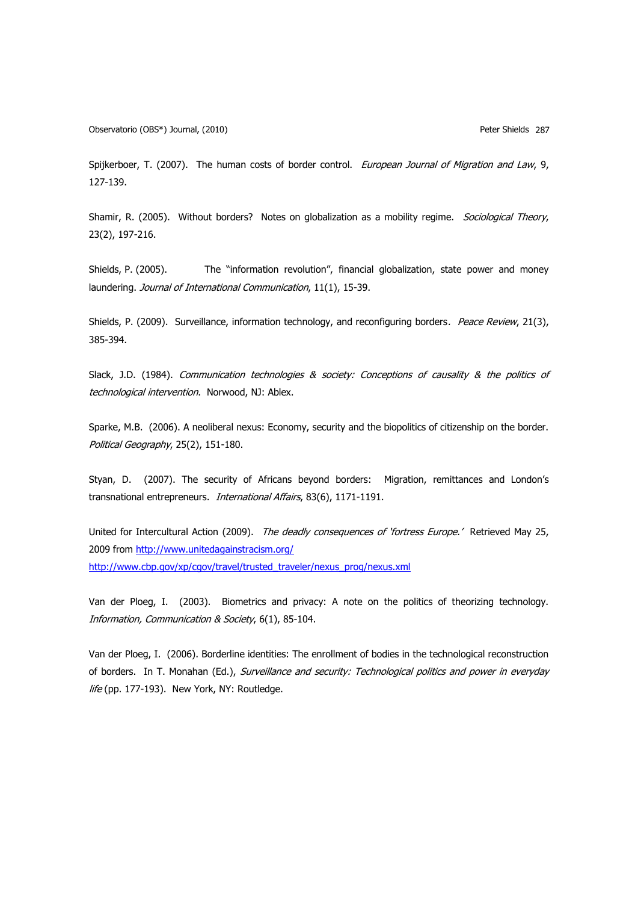Observatorio (OBS\*) Journal, (2010) Peter Shields 287

Spijkerboer, T. (2007). The human costs of border control. European Journal of Migration and Law, 9, 127-139.

Shamir, R. (2005). Without borders? Notes on globalization as a mobility regime. Sociological Theory, 23(2), 197-216.

Shields, P. (2005). The "information revolution", financial globalization, state power and money laundering. Journal of International Communication, 11(1), 15-39.

Shields, P. (2009). Surveillance, information technology, and reconfiguring borders. Peace Review, 21(3), 385-394.

Slack, J.D. (1984). Communication technologies & society: Conceptions of causality & the politics of technological intervention. Norwood, NJ: Ablex.

Sparke, M.B. (2006). A neoliberal nexus: Economy, security and the biopolitics of citizenship on the border. Political Geography, 25(2), 151-180.

Styan, D. (2007). The security of Africans beyond borders: Migration, remittances and London's transnational entrepreneurs. International Affairs, 83(6), 1171-1191.

United for Intercultural Action (2009). The deadly consequences of 'fortress Europe.' Retrieved May 25, 2009 from<http://www.unitedagainstracism.org/> [http://www.cbp.gov/xp/cgov/travel/trusted\\_traveler/nexus\\_prog/nexus.xml](http://www.cbp.gov/xp/cgov/travel/trusted_traveler/nexus_prog/nexus.xml)

Van der Ploeg, I. (2003). Biometrics and privacy: A note on the politics of theorizing technology. Information, Communication & Society, 6(1), 85-104.

Van der Ploeg, I. (2006). Borderline identities: The enrollment of bodies in the technological reconstruction of borders. In T. Monahan (Ed.), Surveillance and security: Technological politics and power in everyday life (pp. 177-193). New York, NY: Routledge.